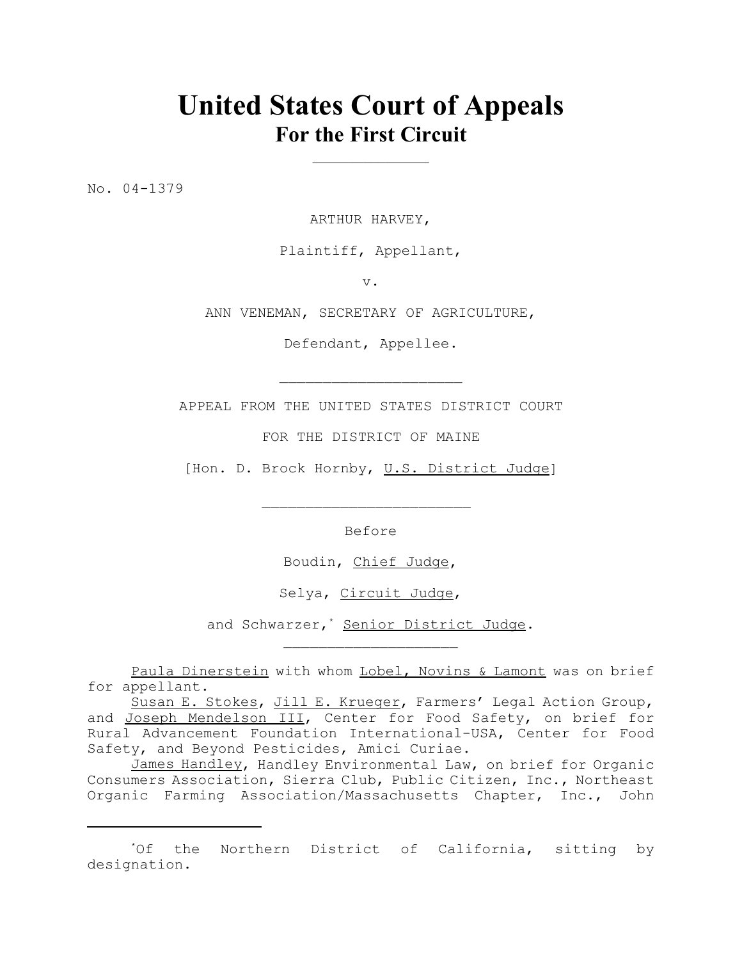# **United States Court of Appeals For the First Circuit**

 $\overline{\phantom{a}}$  , where  $\overline{\phantom{a}}$ 

No. 04-1379

ARTHUR HARVEY,

Plaintiff, Appellant,

v.

ANN VENEMAN, SECRETARY OF AGRICULTURE,

Defendant, Appellee.

APPEAL FROM THE UNITED STATES DISTRICT COURT

 $\mathcal{L}_\text{max}$ 

FOR THE DISTRICT OF MAINE

[Hon. D. Brock Hornby, U.S. District Judge]

 $\mathcal{L}_\text{max}$ 

Before

Boudin, Chief Judge,

Selya, Circuit Judge,

and Schwarzer,<sup>\*</sup> Senior District Judge.

Paula Dinerstein with whom Lobel, Novins & Lamont was on brief for appellant.

Susan E. Stokes, Jill E. Krueger, Farmers' Legal Action Group, and Joseph Mendelson III, Center for Food Safety, on brief for Rural Advancement Foundation International-USA, Center for Food Safety, and Beyond Pesticides, Amici Curiae.

James Handley, Handley Environmental Law, on brief for Organic Consumers Association, Sierra Club, Public Citizen, Inc., Northeast Organic Farming Association/Massachusetts Chapter, Inc., John

<sup>\*</sup>Of the Northern District of California, sitting by designation.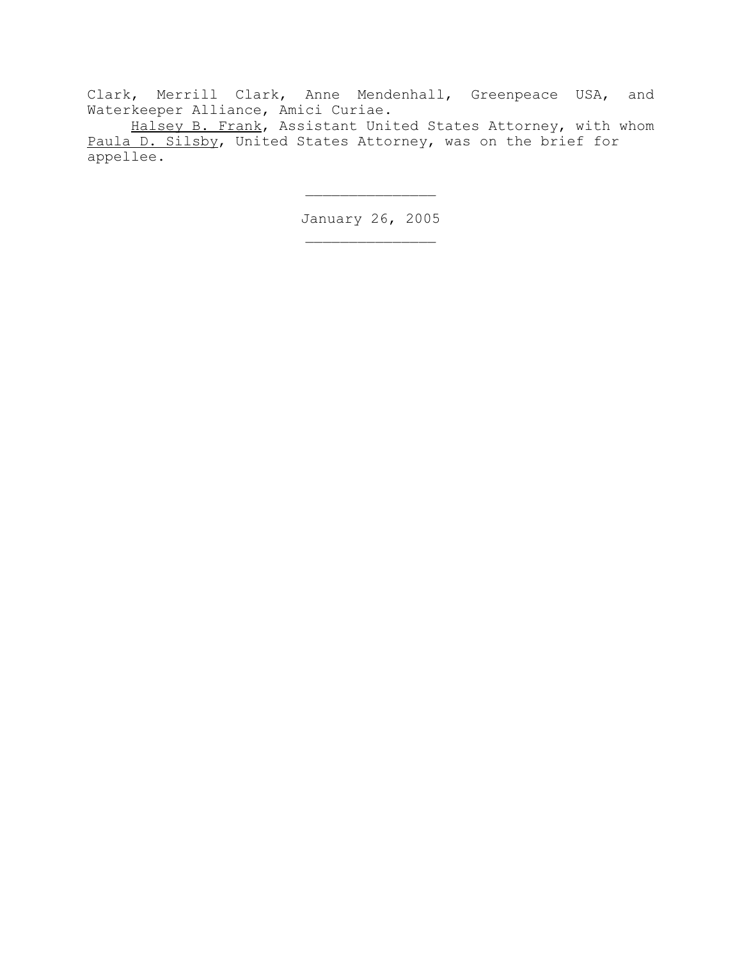Clark, Merrill Clark, Anne Mendenhall, Greenpeace USA, and Waterkeeper Alliance, Amici Curiae.

Halsey B. Frank, Assistant United States Attorney, with whom Paula D. Silsby, United States Attorney, was on the brief for appellee.

> January 26, 2005 \_\_\_\_\_\_\_\_\_\_\_\_\_\_\_

 $\frac{1}{2}$  ,  $\frac{1}{2}$  ,  $\frac{1}{2}$  ,  $\frac{1}{2}$  ,  $\frac{1}{2}$  ,  $\frac{1}{2}$  ,  $\frac{1}{2}$  ,  $\frac{1}{2}$  ,  $\frac{1}{2}$  ,  $\frac{1}{2}$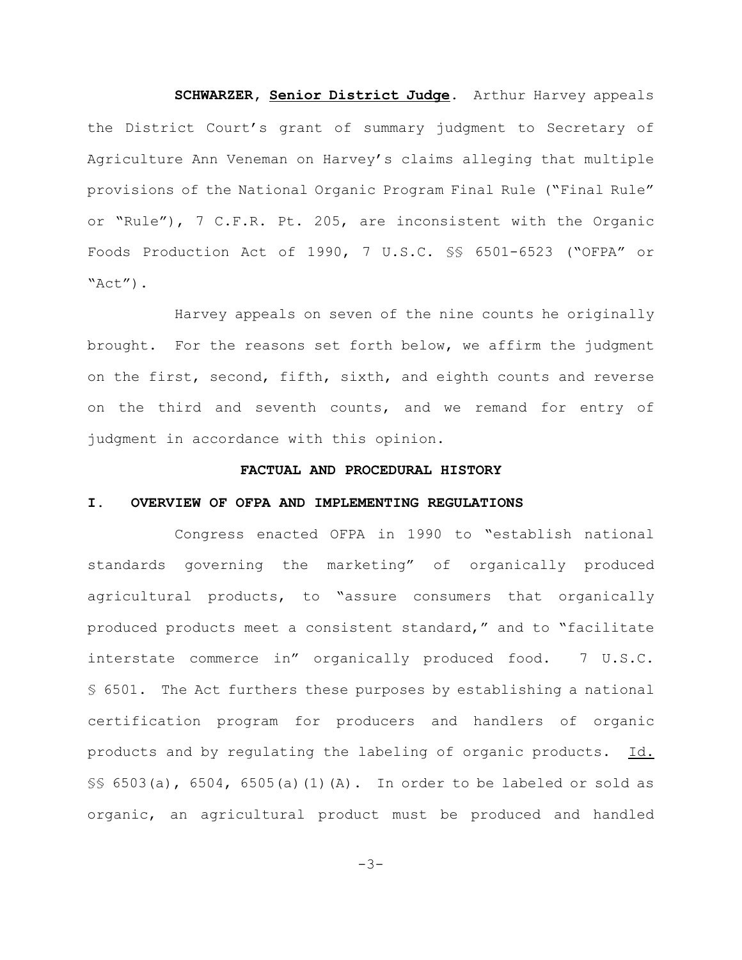**SCHWARZER, Senior District Judge.** Arthur Harvey appeals the District Court's grant of summary judgment to Secretary of Agriculture Ann Veneman on Harvey's claims alleging that multiple provisions of the National Organic Program Final Rule ("Final Rule" or "Rule"), 7 C.F.R. Pt. 205, are inconsistent with the Organic Foods Production Act of 1990, 7 U.S.C. §§ 6501-6523 ("OFPA" or "Act").

Harvey appeals on seven of the nine counts he originally brought. For the reasons set forth below, we affirm the judgment on the first, second, fifth, sixth, and eighth counts and reverse on the third and seventh counts, and we remand for entry of judgment in accordance with this opinion.

## **FACTUAL AND PROCEDURAL HISTORY**

# **I. OVERVIEW OF OFPA AND IMPLEMENTING REGULATIONS**

Congress enacted OFPA in 1990 to "establish national standards governing the marketing" of organically produced agricultural products, to "assure consumers that organically produced products meet a consistent standard," and to "facilitate interstate commerce in" organically produced food. 7 U.S.C. § 6501. The Act furthers these purposes by establishing a national certification program for producers and handlers of organic products and by regulating the labeling of organic products. Id.  $\S$ § 6503(a), 6504, 6505(a)(1)(A). In order to be labeled or sold as organic, an agricultural product must be produced and handled

 $-3-$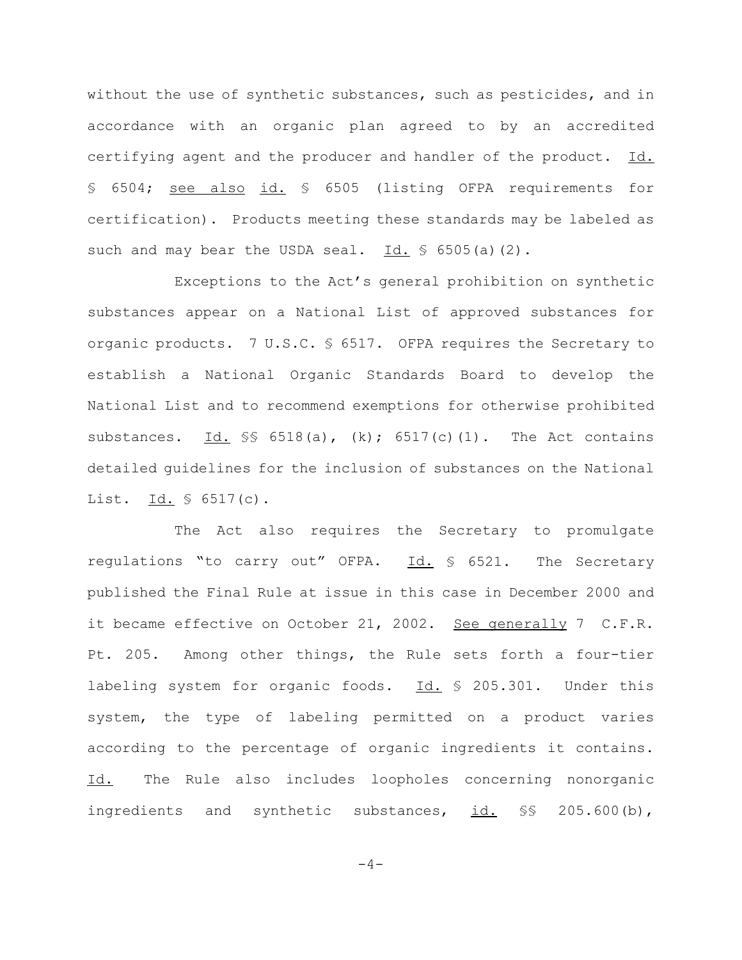without the use of synthetic substances, such as pesticides, and in accordance with an organic plan agreed to by an accredited certifying agent and the producer and handler of the product. Id. § 6504; see also id. § 6505 (listing OFPA requirements for certification). Products meeting these standards may be labeled as such and may bear the USDA seal.  $Id. \S$  6505(a)(2).

Exceptions to the Act's general prohibition on synthetic substances appear on a National List of approved substances for organic products. 7 U.S.C. § 6517. OFPA requires the Secretary to establish a National Organic Standards Board to develop the National List and to recommend exemptions for otherwise prohibited substances. Id.  $\frac{1}{5}$  6518(a), (k); 6517(c)(1). The Act contains detailed guidelines for the inclusion of substances on the National List. Id.  $\frac{1}{2}$  6517(c).

The Act also requires the Secretary to promulgate regulations "to carry out" OFPA. Id. § 6521. The Secretary published the Final Rule at issue in this case in December 2000 and it became effective on October 21, 2002. See generally 7 C.F.R. Pt. 205. Among other things, the Rule sets forth a four-tier labeling system for organic foods. Id. § 205.301. Under this system, the type of labeling permitted on a product varies according to the percentage of organic ingredients it contains. Id. The Rule also includes loopholes concerning nonorganic ingredients and synthetic substances, id. §§ 205.600(b),

 $-4-$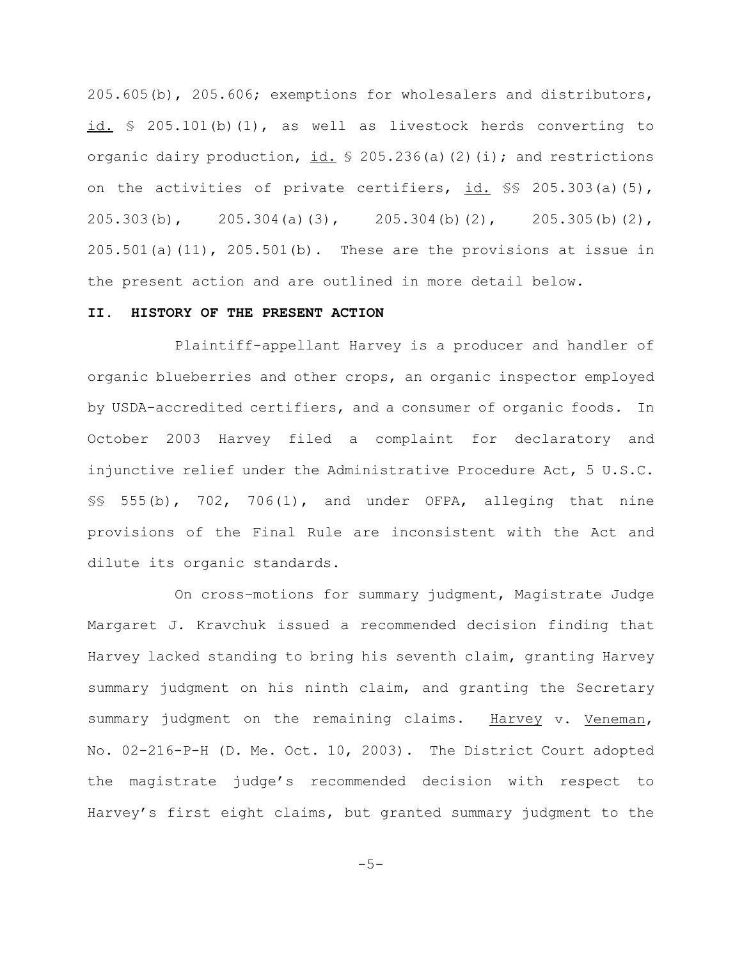205.605(b), 205.606; exemptions for wholesalers and distributors, id.  $\frac{1}{2}$  205.101(b)(1), as well as livestock herds converting to organic dairy production, id.  $\frac{1}{5}$  205.236(a)(2)(i); and restrictions on the activities of private certifiers, id. §§ 205.303(a)(5), 205.303(b), 205.304(a)(3), 205.304(b)(2), 205.305(b)(2),  $205.501(a)(11)$ ,  $205.501(b)$ . These are the provisions at issue in the present action and are outlined in more detail below.

## **II. HISTORY OF THE PRESENT ACTION**

Plaintiff-appellant Harvey is a producer and handler of organic blueberries and other crops, an organic inspector employed by USDA-accredited certifiers, and a consumer of organic foods. In October 2003 Harvey filed a complaint for declaratory and injunctive relief under the Administrative Procedure Act, 5 U.S.C.  $\S$ § 555(b), 702, 706(1), and under OFPA, alleging that nine provisions of the Final Rule are inconsistent with the Act and dilute its organic standards.

On cross–motions for summary judgment, Magistrate Judge Margaret J. Kravchuk issued a recommended decision finding that Harvey lacked standing to bring his seventh claim, granting Harvey summary judgment on his ninth claim, and granting the Secretary summary judgment on the remaining claims. Harvey v. Veneman, No. 02-216-P-H (D. Me. Oct. 10, 2003). The District Court adopted the magistrate judge's recommended decision with respect to Harvey's first eight claims, but granted summary judgment to the

 $-5-$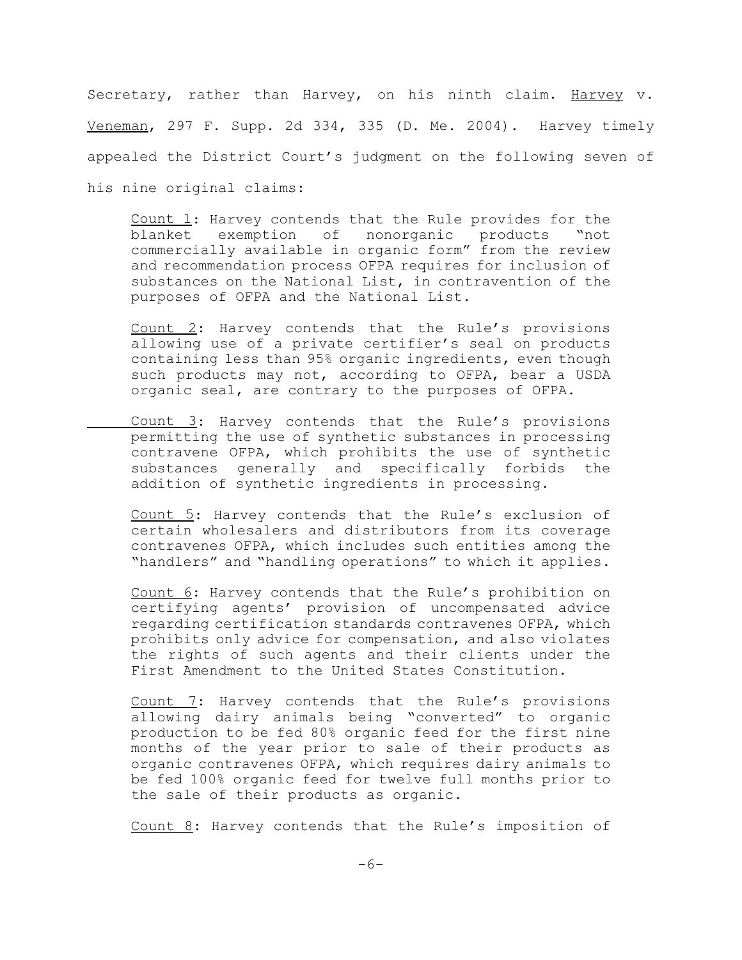Secretary, rather than Harvey, on his ninth claim. Harvey v. Veneman, 297 F. Supp. 2d 334, 335 (D. Me. 2004). Harvey timely appealed the District Court's judgment on the following seven of his nine original claims:

Count 1: Harvey contends that the Rule provides for the blanket exemption of nonorganic products "not commercially available in organic form" from the review and recommendation process OFPA requires for inclusion of substances on the National List, in contravention of the purposes of OFPA and the National List.

Count 2: Harvey contends that the Rule's provisions allowing use of a private certifier's seal on products containing less than 95% organic ingredients, even though such products may not, according to OFPA, bear a USDA organic seal, are contrary to the purposes of OFPA.

Count 3: Harvey contends that the Rule's provisions permitting the use of synthetic substances in processing contravene OFPA, which prohibits the use of synthetic substances generally and specifically forbids the addition of synthetic ingredients in processing.

Count 5: Harvey contends that the Rule's exclusion of certain wholesalers and distributors from its coverage contravenes OFPA, which includes such entities among the "handlers" and "handling operations" to which it applies.

Count 6: Harvey contends that the Rule's prohibition on certifying agents' provision of uncompensated advice regarding certification standards contravenes OFPA, which prohibits only advice for compensation, and also violates the rights of such agents and their clients under the First Amendment to the United States Constitution.

Count 7: Harvey contends that the Rule's provisions allowing dairy animals being "converted" to organic production to be fed 80% organic feed for the first nine months of the year prior to sale of their products as organic contravenes OFPA, which requires dairy animals to be fed 100% organic feed for twelve full months prior to the sale of their products as organic.

Count 8: Harvey contends that the Rule's imposition of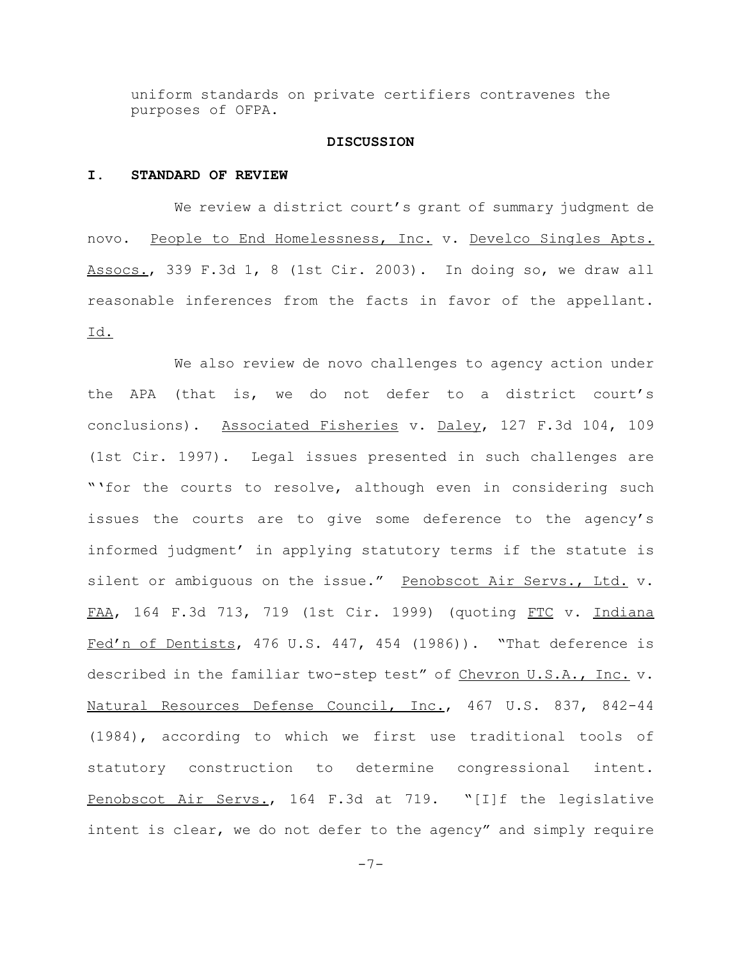uniform standards on private certifiers contravenes the purposes of OFPA.

#### **DISCUSSION**

#### **I. STANDARD OF REVIEW**

We review a district court's grant of summary judgment de novo. People to End Homelessness, Inc. v. Develco Singles Apts. Assocs., 339 F.3d 1, 8 (1st Cir. 2003). In doing so, we draw all reasonable inferences from the facts in favor of the appellant. Id.

We also review de novo challenges to agency action under the APA (that is, we do not defer to a district court's conclusions). Associated Fisheries v. Daley, 127 F.3d 104, 109 (1st Cir. 1997). Legal issues presented in such challenges are "'for the courts to resolve, although even in considering such issues the courts are to give some deference to the agency's informed judgment' in applying statutory terms if the statute is silent or ambiguous on the issue." Penobscot Air Servs., Ltd. v. FAA, 164 F.3d 713, 719 (1st Cir. 1999) (quoting FTC v. Indiana Fed'n of Dentists, 476 U.S. 447, 454 (1986)). "That deference is described in the familiar two-step test" of Chevron U.S.A., Inc. v. Natural Resources Defense Council, Inc., 467 U.S. 837, 842-44 (1984), according to which we first use traditional tools of statutory construction to determine congressional intent. Penobscot Air Servs., 164 F.3d at 719. "[I]f the legislative intent is clear, we do not defer to the agency" and simply require

-7-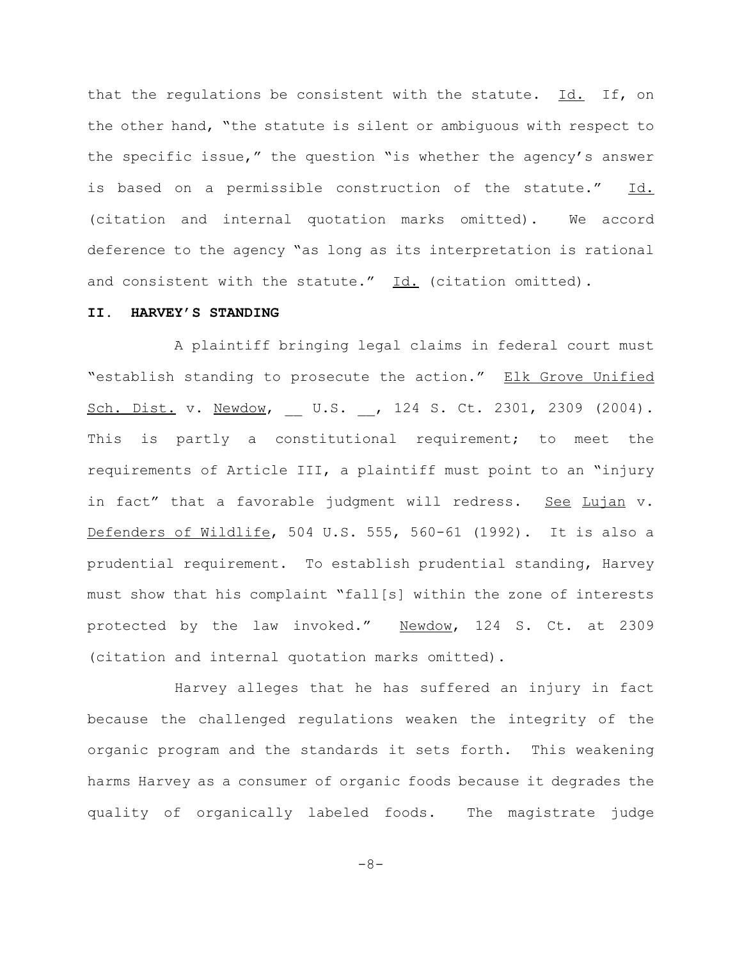that the regulations be consistent with the statute. Id. If, on the other hand, "the statute is silent or ambiguous with respect to the specific issue," the question "is whether the agency's answer is based on a permissible construction of the statute." Id. (citation and internal quotation marks omitted). We accord deference to the agency "as long as its interpretation is rational and consistent with the statute."  $Id.$  (citation omitted).

#### **II. HARVEY'S STANDING**

A plaintiff bringing legal claims in federal court must "establish standing to prosecute the action." Elk Grove Unified Sch. Dist. v. Newdow, U.S. , 124 S. Ct. 2301, 2309 (2004). This is partly a constitutional requirement; to meet the requirements of Article III, a plaintiff must point to an "injury in fact" that a favorable judgment will redress. See Lujan v. Defenders of Wildlife, 504 U.S. 555, 560-61 (1992). It is also a prudential requirement. To establish prudential standing, Harvey must show that his complaint "fall[s] within the zone of interests protected by the law invoked." Newdow, 124 S. Ct. at 2309 (citation and internal quotation marks omitted).

Harvey alleges that he has suffered an injury in fact because the challenged regulations weaken the integrity of the organic program and the standards it sets forth. This weakening harms Harvey as a consumer of organic foods because it degrades the quality of organically labeled foods. The magistrate judge

-8-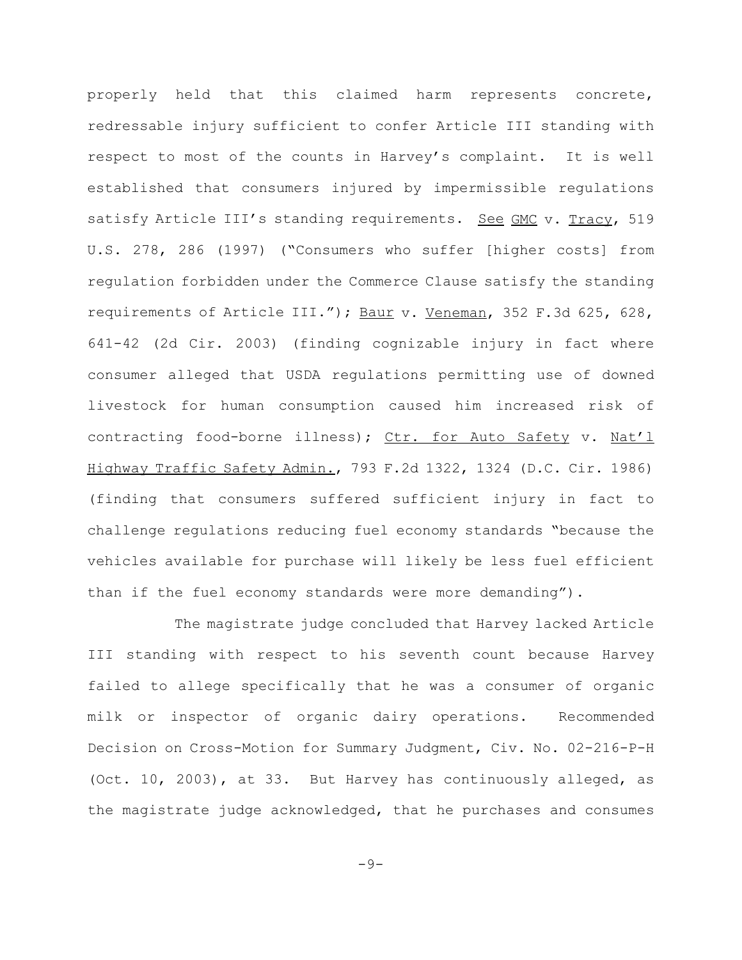properly held that this claimed harm represents concrete, redressable injury sufficient to confer Article III standing with respect to most of the counts in Harvey's complaint. It is well established that consumers injured by impermissible regulations satisfy Article III's standing requirements. See GMC v. Tracy, 519 U.S. 278, 286 (1997) ("Consumers who suffer [higher costs] from regulation forbidden under the Commerce Clause satisfy the standing requirements of Article III."); Baur v. Veneman, 352 F.3d 625, 628, 641-42 (2d Cir. 2003) (finding cognizable injury in fact where consumer alleged that USDA regulations permitting use of downed livestock for human consumption caused him increased risk of contracting food-borne illness); Ctr. for Auto Safety v. Nat'l Highway Traffic Safety Admin., 793 F.2d 1322, 1324 (D.C. Cir. 1986) (finding that consumers suffered sufficient injury in fact to challenge regulations reducing fuel economy standards "because the vehicles available for purchase will likely be less fuel efficient than if the fuel economy standards were more demanding").

The magistrate judge concluded that Harvey lacked Article III standing with respect to his seventh count because Harvey failed to allege specifically that he was a consumer of organic milk or inspector of organic dairy operations. Recommended Decision on Cross-Motion for Summary Judgment, Civ. No. 02-216-P-H (Oct. 10, 2003), at 33. But Harvey has continuously alleged, as the magistrate judge acknowledged, that he purchases and consumes

 $-9-$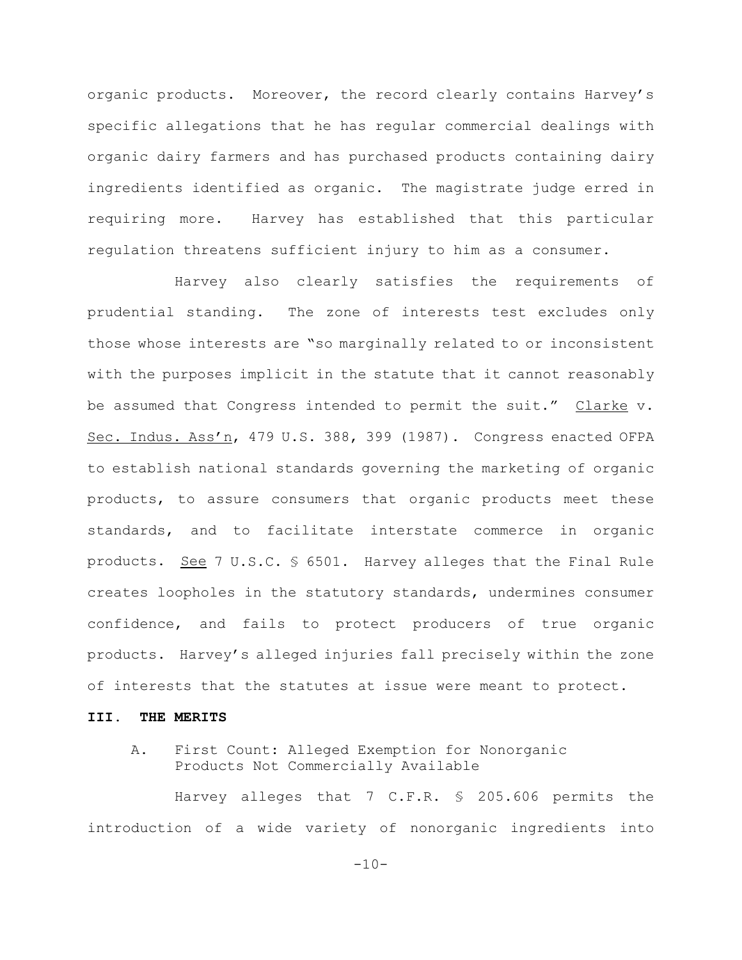organic products. Moreover, the record clearly contains Harvey's specific allegations that he has regular commercial dealings with organic dairy farmers and has purchased products containing dairy ingredients identified as organic. The magistrate judge erred in requiring more. Harvey has established that this particular regulation threatens sufficient injury to him as a consumer.

Harvey also clearly satisfies the requirements of prudential standing. The zone of interests test excludes only those whose interests are "so marginally related to or inconsistent with the purposes implicit in the statute that it cannot reasonably be assumed that Congress intended to permit the suit." Clarke v. Sec. Indus. Ass'n, 479 U.S. 388, 399 (1987). Congress enacted OFPA to establish national standards governing the marketing of organic products, to assure consumers that organic products meet these standards, and to facilitate interstate commerce in organic products. See 7 U.S.C. § 6501. Harvey alleges that the Final Rule creates loopholes in the statutory standards, undermines consumer confidence, and fails to protect producers of true organic products. Harvey's alleged injuries fall precisely within the zone of interests that the statutes at issue were meant to protect.

# **III. THE MERITS**

# A. First Count: Alleged Exemption for Nonorganic Products Not Commercially Available

Harvey alleges that 7 C.F.R. § 205.606 permits the introduction of a wide variety of nonorganic ingredients into

 $-10-$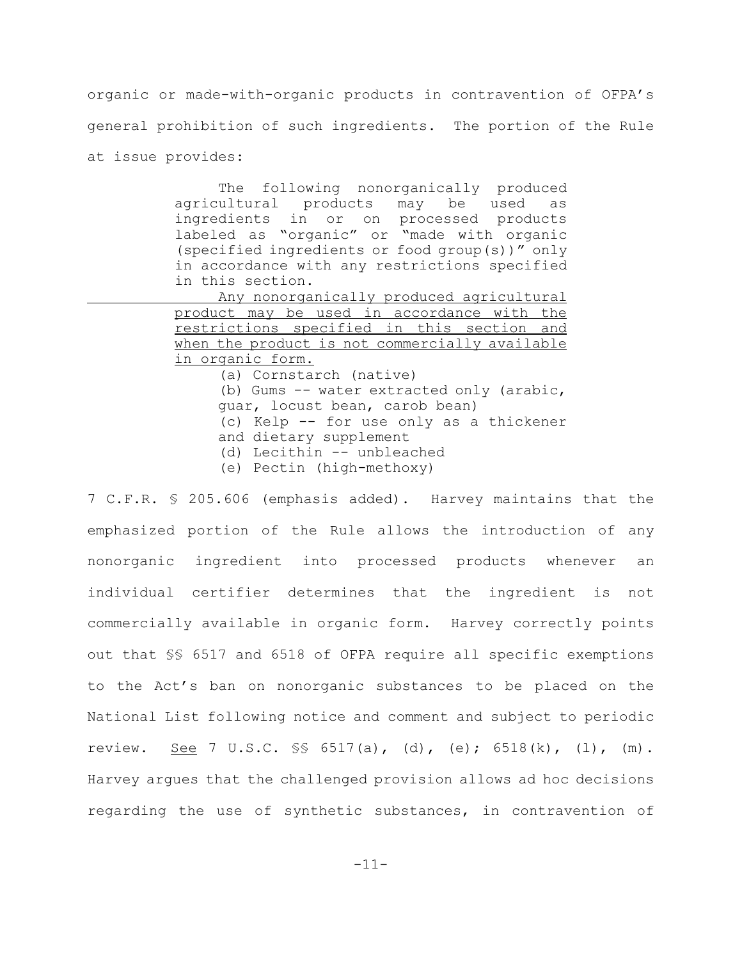organic or made-with-organic products in contravention of OFPA's general prohibition of such ingredients. The portion of the Rule at issue provides:

> The following nonorganically produced agricultural products may be used as ingredients in or on processed products labeled as "organic" or "made with organic (specified ingredients or food group(s))" only in accordance with any restrictions specified in this section.

> Any nonorganically produced agricultural product may be used in accordance with the restrictions specified in this section and when the product is not commercially available in organic form.

(a) Cornstarch (native)

- (b) Gums -- water extracted only (arabic, guar, locust bean, carob bean)
- (c) Kelp -- for use only as a thickener
- and dietary supplement
- (d) Lecithin -- unbleached
- (e) Pectin (high-methoxy)

7 C.F.R. § 205.606 (emphasis added). Harvey maintains that the emphasized portion of the Rule allows the introduction of any nonorganic ingredient into processed products whenever an individual certifier determines that the ingredient is not commercially available in organic form. Harvey correctly points out that §§ 6517 and 6518 of OFPA require all specific exemptions to the Act's ban on nonorganic substances to be placed on the National List following notice and comment and subject to periodic review. See 7 U.S.C. §§ 6517(a), (d), (e); 6518(k), (l), (m). Harvey argues that the challenged provision allows ad hoc decisions regarding the use of synthetic substances, in contravention of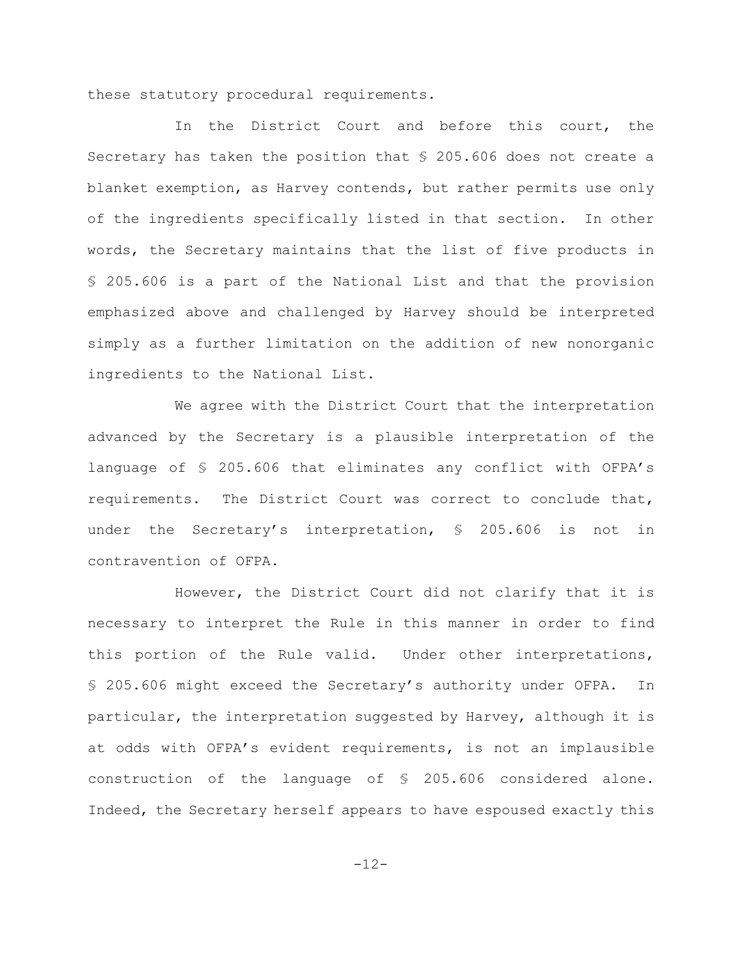these statutory procedural requirements.

In the District Court and before this court, the Secretary has taken the position that § 205.606 does not create a blanket exemption, as Harvey contends, but rather permits use only of the ingredients specifically listed in that section. In other words, the Secretary maintains that the list of five products in § 205.606 is a part of the National List and that the provision emphasized above and challenged by Harvey should be interpreted simply as a further limitation on the addition of new nonorganic ingredients to the National List.

We agree with the District Court that the interpretation advanced by the Secretary is a plausible interpretation of the language of § 205.606 that eliminates any conflict with OFPA's requirements. The District Court was correct to conclude that, under the Secretary's interpretation, § 205.606 is not in contravention of OFPA.

However, the District Court did not clarify that it is necessary to interpret the Rule in this manner in order to find this portion of the Rule valid. Under other interpretations, § 205.606 might exceed the Secretary's authority under OFPA. In particular, the interpretation suggested by Harvey, although it is at odds with OFPA's evident requirements, is not an implausible construction of the language of § 205.606 considered alone. Indeed, the Secretary herself appears to have espoused exactly this

-12-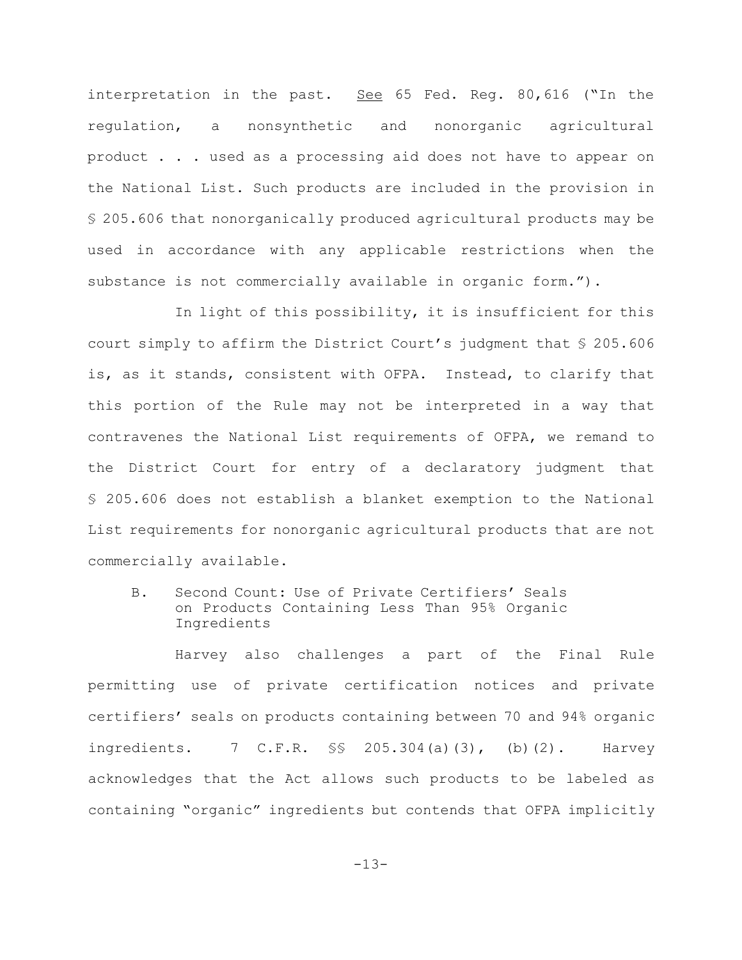interpretation in the past. See 65 Fed. Reg. 80,616 ("In the regulation, a nonsynthetic and nonorganic agricultural product . . . used as a processing aid does not have to appear on the National List. Such products are included in the provision in § 205.606 that nonorganically produced agricultural products may be used in accordance with any applicable restrictions when the substance is not commercially available in organic form.").

In light of this possibility, it is insufficient for this court simply to affirm the District Court's judgment that § 205.606 is, as it stands, consistent with OFPA. Instead, to clarify that this portion of the Rule may not be interpreted in a way that contravenes the National List requirements of OFPA, we remand to the District Court for entry of a declaratory judgment that § 205.606 does not establish a blanket exemption to the National List requirements for nonorganic agricultural products that are not commercially available.

B. Second Count: Use of Private Certifiers' Seals on Products Containing Less Than 95% Organic Ingredients

Harvey also challenges a part of the Final Rule permitting use of private certification notices and private certifiers' seals on products containing between 70 and 94% organic ingredients. 7 C.F.R.  $\S$ \$ 205.304(a)(3), (b)(2). Harvey acknowledges that the Act allows such products to be labeled as containing "organic" ingredients but contends that OFPA implicitly

-13-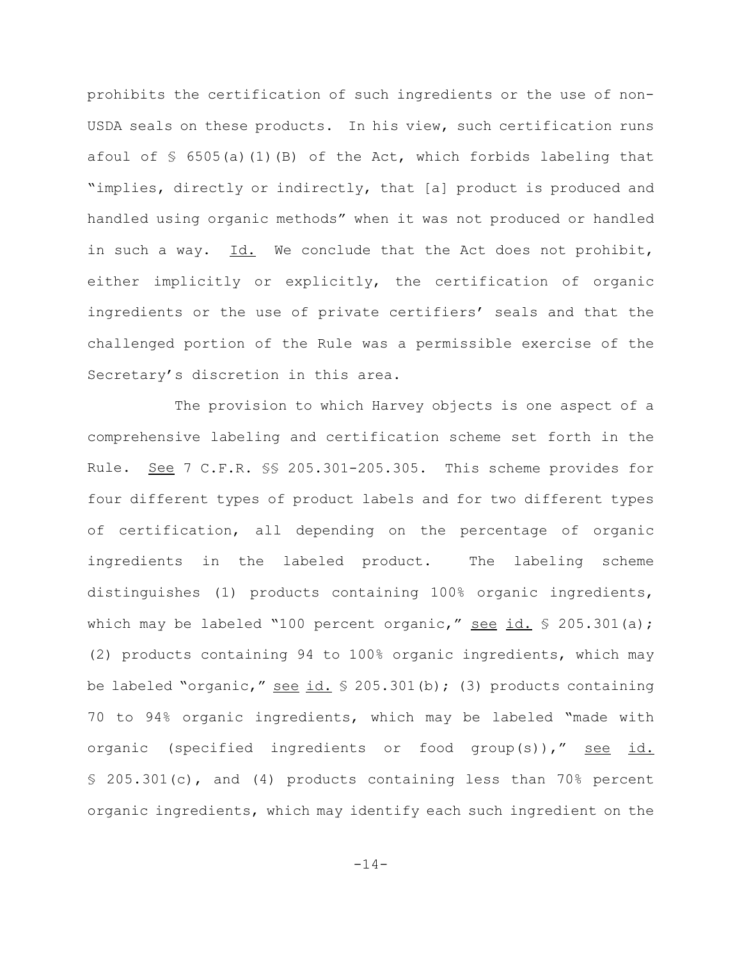prohibits the certification of such ingredients or the use of non-USDA seals on these products. In his view, such certification runs afoul of  $\frac{1}{5}$  6505(a)(1)(B) of the Act, which forbids labeling that "implies, directly or indirectly, that [a] product is produced and handled using organic methods" when it was not produced or handled in such a way.  $Id.$  We conclude that the Act does not prohibit, either implicitly or explicitly, the certification of organic ingredients or the use of private certifiers' seals and that the challenged portion of the Rule was a permissible exercise of the Secretary's discretion in this area.

The provision to which Harvey objects is one aspect of a comprehensive labeling and certification scheme set forth in the Rule. See 7 C.F.R. §§ 205.301-205.305. This scheme provides for four different types of product labels and for two different types of certification, all depending on the percentage of organic ingredients in the labeled product. The labeling scheme distinguishes (1) products containing 100% organic ingredients, which may be labeled "100 percent organic," see id.  $\frac{1}{5}$  205.301(a); (2) products containing 94 to 100% organic ingredients, which may be labeled "organic," see id.  $\frac{1}{2}$  205.301(b); (3) products containing 70 to 94% organic ingredients, which may be labeled "made with organic (specified ingredients or food group(s))," see id. § 205.301(c), and (4) products containing less than 70% percent organic ingredients, which may identify each such ingredient on the

-14-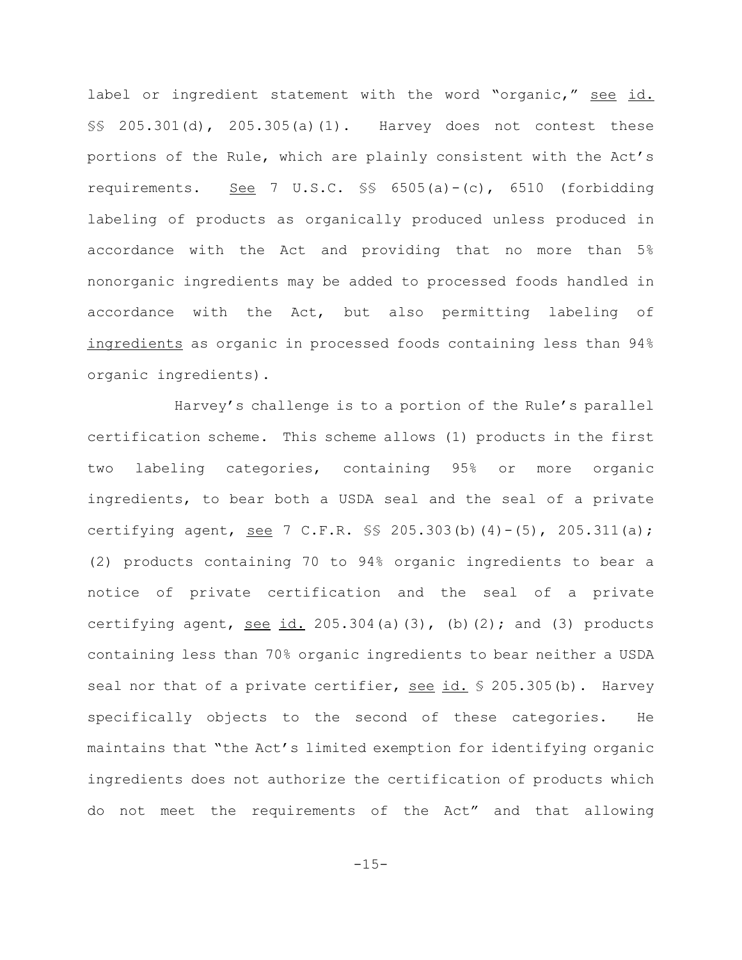label or ingredient statement with the word "organic," see id. §§ 205.301(d), 205.305(a)(1). Harvey does not contest these portions of the Rule, which are plainly consistent with the Act's requirements. See 7 U.S.C. §§ 6505(a)-(c), 6510 (forbidding labeling of products as organically produced unless produced in accordance with the Act and providing that no more than 5% nonorganic ingredients may be added to processed foods handled in accordance with the Act, but also permitting labeling of ingredients as organic in processed foods containing less than 94% organic ingredients).

Harvey's challenge is to a portion of the Rule's parallel certification scheme. This scheme allows (1) products in the first two labeling categories, containing 95% or more organic ingredients, to bear both a USDA seal and the seal of a private certifying agent, <u>see</u> 7 C.F.R.  $\frac{1}{5}$  205.303(b)(4)-(5), 205.311(a); (2) products containing 70 to 94% organic ingredients to bear a notice of private certification and the seal of a private certifying agent, see id.  $205.304(a)(3)$ , (b)(2); and (3) products containing less than 70% organic ingredients to bear neither a USDA seal nor that of a private certifier, see id. § 205.305(b). Harvey specifically objects to the second of these categories. He maintains that "the Act's limited exemption for identifying organic ingredients does not authorize the certification of products which do not meet the requirements of the Act" and that allowing

 $-15-$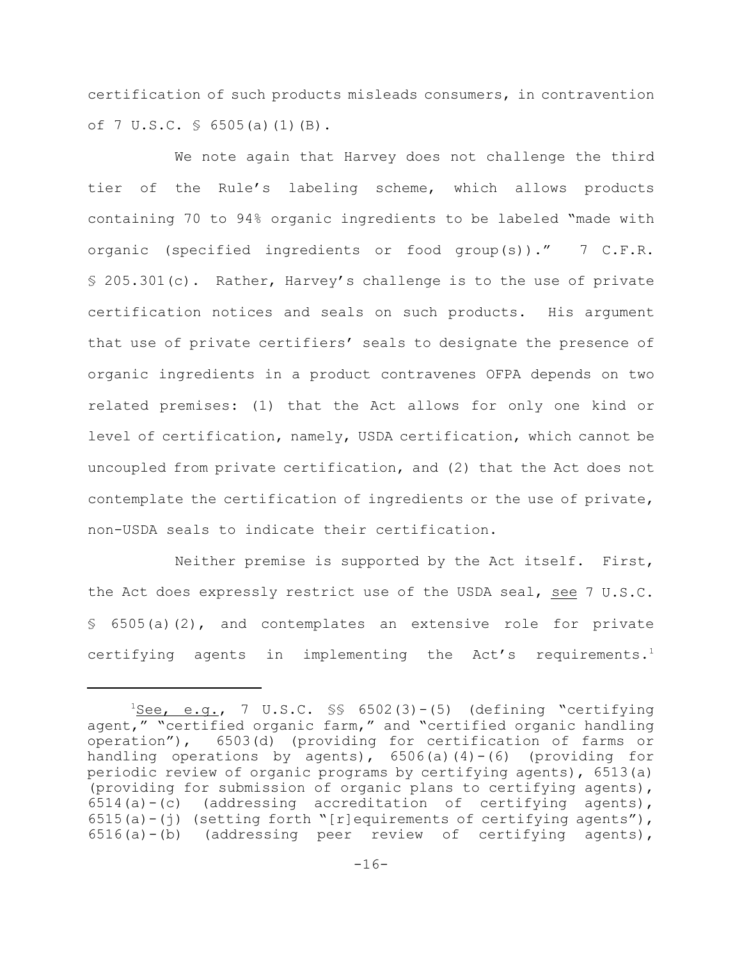certification of such products misleads consumers, in contravention of 7 U.S.C. § 6505(a)(1)(B).

We note again that Harvey does not challenge the third tier of the Rule's labeling scheme, which allows products containing 70 to 94% organic ingredients to be labeled "made with organic (specified ingredients or food group(s))." 7 C.F.R. § 205.301(c). Rather, Harvey's challenge is to the use of private certification notices and seals on such products. His argument that use of private certifiers' seals to designate the presence of organic ingredients in a product contravenes OFPA depends on two related premises: (1) that the Act allows for only one kind or level of certification, namely, USDA certification, which cannot be uncoupled from private certification, and (2) that the Act does not contemplate the certification of ingredients or the use of private, non-USDA seals to indicate their certification.

Neither premise is supported by the Act itself. First, the Act does expressly restrict use of the USDA seal, see 7 U.S.C. § 6505(a)(2), and contemplates an extensive role for private certifying agents in implementing the  $Act's$  requirements.<sup>1</sup>

 $1$ See, e.g., 7 U.S.C.  $\$  6502(3)-(5) (defining "certifying agent," "certified organic farm," and "certified organic handling operation"), 6503(d) (providing for certification of farms or handling operations by agents),  $6506(a)(4)-(6)$  (providing for periodic review of organic programs by certifying agents), 6513(a) (providing for submission of organic plans to certifying agents), 6514(a)-(c) (addressing accreditation of certifying agents), 6515(a)-(j) (setting forth "[r]equirements of certifying agents"),  $6516(a) - (b)$  (addressing peer review of certifying agents),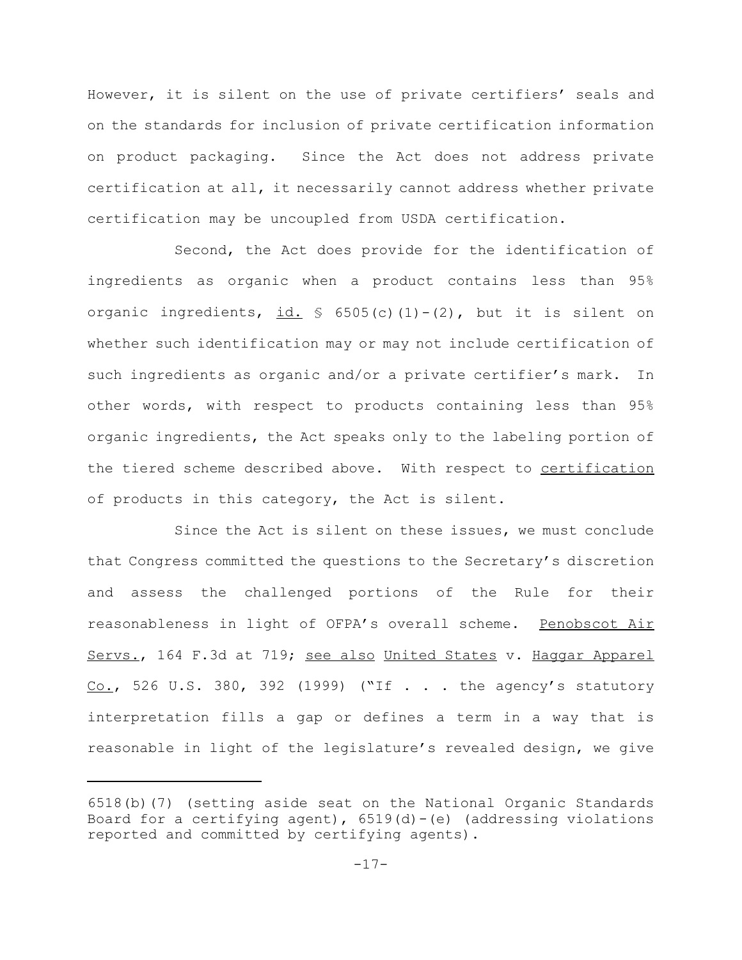However, it is silent on the use of private certifiers' seals and on the standards for inclusion of private certification information on product packaging. Since the Act does not address private certification at all, it necessarily cannot address whether private certification may be uncoupled from USDA certification.

Second, the Act does provide for the identification of ingredients as organic when a product contains less than 95% organic ingredients,  $id. \S$  6505(c)(1)-(2), but it is silent on whether such identification may or may not include certification of such ingredients as organic and/or a private certifier's mark. In other words, with respect to products containing less than 95% organic ingredients, the Act speaks only to the labeling portion of the tiered scheme described above. With respect to certification of products in this category, the Act is silent.

Since the Act is silent on these issues, we must conclude that Congress committed the questions to the Secretary's discretion and assess the challenged portions of the Rule for their reasonableness in light of OFPA's overall scheme. Penobscot Air Servs., 164 F.3d at 719; see also United States v. Haggar Apparel Co., 526 U.S. 380, 392 (1999) ("If . . . the agency's statutory interpretation fills a gap or defines a term in a way that is reasonable in light of the legislature's revealed design, we give

<sup>6518(</sup>b)(7) (setting aside seat on the National Organic Standards Board for a certifying agent),  $6519(d) - (e)$  (addressing violations reported and committed by certifying agents).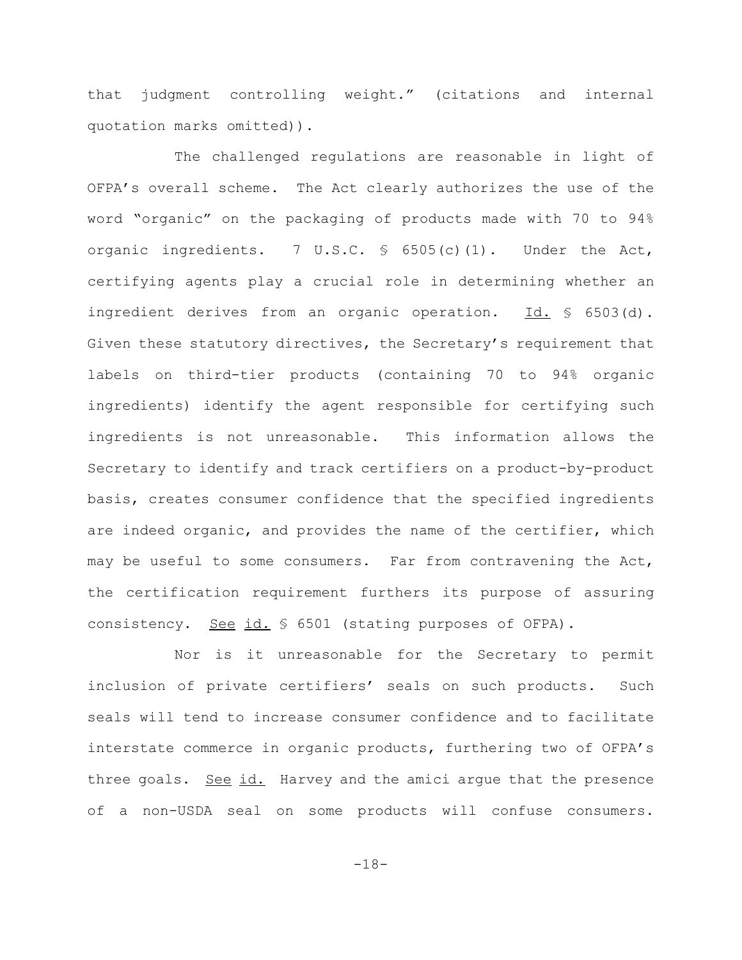that judgment controlling weight." (citations and internal quotation marks omitted)).

The challenged regulations are reasonable in light of OFPA's overall scheme. The Act clearly authorizes the use of the word "organic" on the packaging of products made with 70 to 94% organic ingredients. 7 U.S.C.  $\frac{1}{5}$  6505(c)(1). Under the Act, certifying agents play a crucial role in determining whether an ingredient derives from an organic operation. Id. § 6503(d). Given these statutory directives, the Secretary's requirement that labels on third-tier products (containing 70 to 94% organic ingredients) identify the agent responsible for certifying such ingredients is not unreasonable. This information allows the Secretary to identify and track certifiers on a product-by-product basis, creates consumer confidence that the specified ingredients are indeed organic, and provides the name of the certifier, which may be useful to some consumers. Far from contravening the Act, the certification requirement furthers its purpose of assuring consistency. <u>See id.</u> § 6501 (stating purposes of OFPA).

Nor is it unreasonable for the Secretary to permit inclusion of private certifiers' seals on such products. Such seals will tend to increase consumer confidence and to facilitate interstate commerce in organic products, furthering two of OFPA's three goals. See id. Harvey and the amici arque that the presence of a non-USDA seal on some products will confuse consumers.

-18-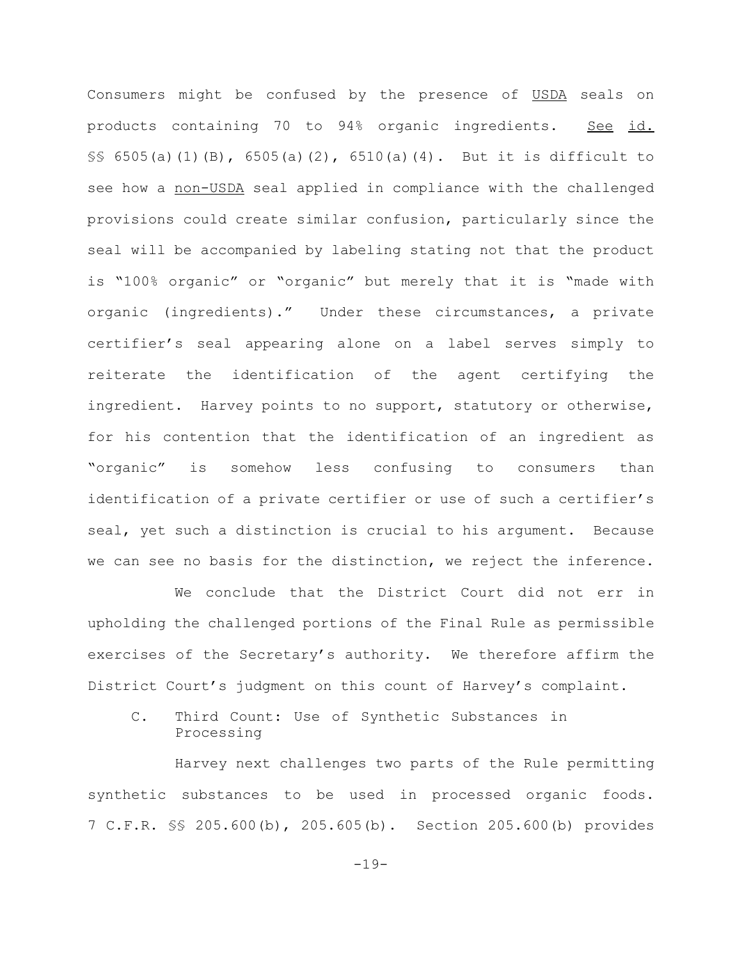Consumers might be confused by the presence of USDA seals on products containing 70 to 94% organic ingredients. See id. §§ 6505(a)(1)(B), 6505(a)(2), 6510(a)(4). But it is difficult to see how a non-USDA seal applied in compliance with the challenged provisions could create similar confusion, particularly since the seal will be accompanied by labeling stating not that the product is "100% organic" or "organic" but merely that it is "made with organic (ingredients)." Under these circumstances, a private certifier's seal appearing alone on a label serves simply to reiterate the identification of the agent certifying the ingredient. Harvey points to no support, statutory or otherwise, for his contention that the identification of an ingredient as "organic" is somehow less confusing to consumers than identification of a private certifier or use of such a certifier's seal, yet such a distinction is crucial to his argument. Because we can see no basis for the distinction, we reject the inference.

We conclude that the District Court did not err in upholding the challenged portions of the Final Rule as permissible exercises of the Secretary's authority. We therefore affirm the District Court's judgment on this count of Harvey's complaint.

C. Third Count: Use of Synthetic Substances in Processing

Harvey next challenges two parts of the Rule permitting synthetic substances to be used in processed organic foods. 7 C.F.R. §§ 205.600(b), 205.605(b). Section 205.600(b) provides

-19-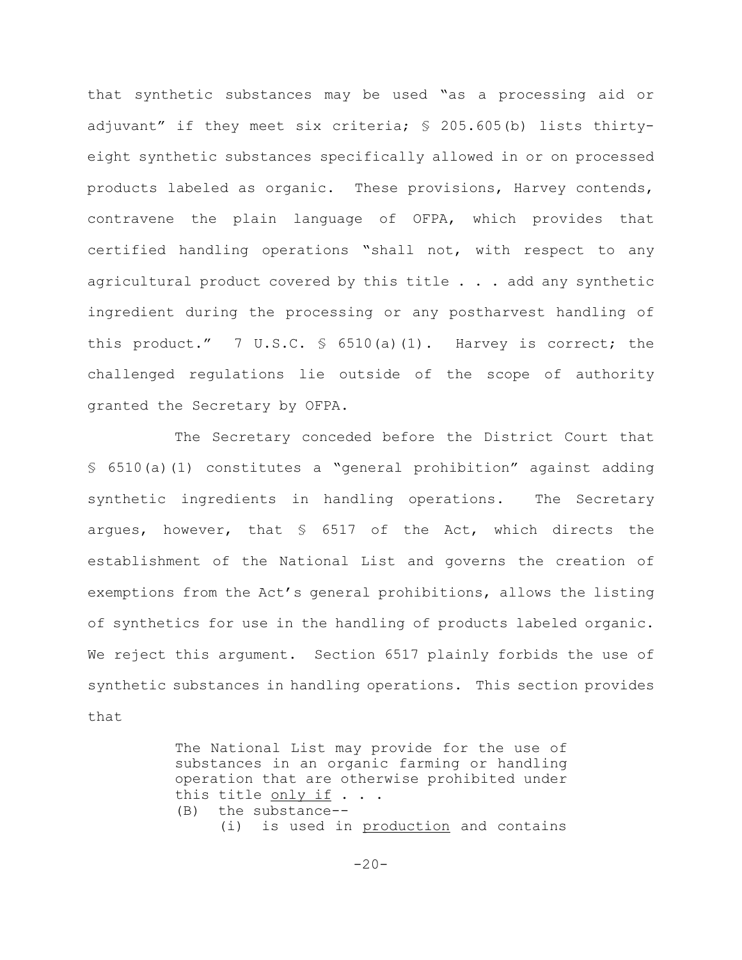that synthetic substances may be used "as a processing aid or adjuvant" if they meet six criteria; § 205.605(b) lists thirtyeight synthetic substances specifically allowed in or on processed products labeled as organic. These provisions, Harvey contends, contravene the plain language of OFPA, which provides that certified handling operations "shall not, with respect to any agricultural product covered by this title . . . add any synthetic ingredient during the processing or any postharvest handling of this product." 7 U.S.C.  $\frac{1}{5}$  6510(a)(1). Harvey is correct; the challenged regulations lie outside of the scope of authority granted the Secretary by OFPA.

The Secretary conceded before the District Court that § 6510(a)(1) constitutes a "general prohibition" against adding synthetic ingredients in handling operations. The Secretary argues, however, that  $\frac{1}{5}$  6517 of the Act, which directs the establishment of the National List and governs the creation of exemptions from the Act's general prohibitions, allows the listing of synthetics for use in the handling of products labeled organic. We reject this argument. Section 6517 plainly forbids the use of synthetic substances in handling operations. This section provides that

> The National List may provide for the use of substances in an organic farming or handling operation that are otherwise prohibited under this title only if . . . (B) the substance-- (i) is used in production and contains

> > $-20-$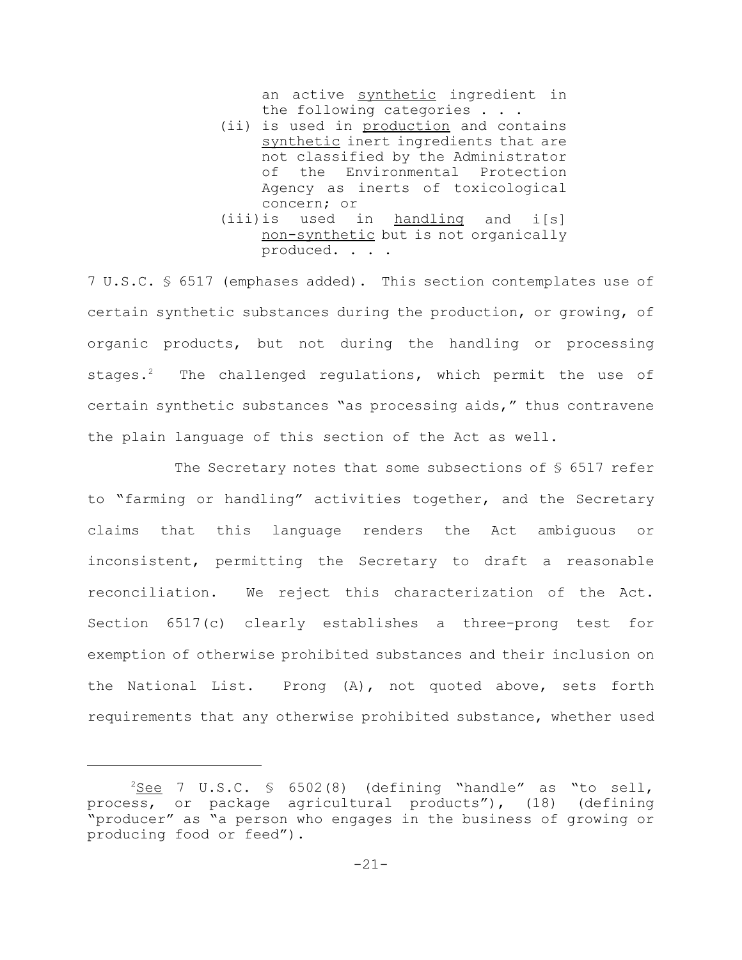an active synthetic ingredient in the following categories . . .

- (ii) is used in production and contains synthetic inert ingredients that are not classified by the Administrator of the Environmental Protection Agency as inerts of toxicological concern; or
- (iii)is used in handling and i[s] non-synthetic but is not organically produced. . . .

7 U.S.C. § 6517 (emphases added). This section contemplates use of certain synthetic substances during the production, or growing, of organic products, but not during the handling or processing stages.<sup>2</sup> The challenged regulations, which permit the use of certain synthetic substances "as processing aids," thus contravene the plain language of this section of the Act as well.

The Secretary notes that some subsections of  $\S$  6517 refer to "farming or handling" activities together, and the Secretary claims that this language renders the Act ambiguous or inconsistent, permitting the Secretary to draft a reasonable reconciliation. We reject this characterization of the Act. Section 6517(c) clearly establishes a three-prong test for exemption of otherwise prohibited substances and their inclusion on the National List. Prong (A), not quoted above, sets forth requirements that any otherwise prohibited substance, whether used

 $2$ See 7 U.S.C. § 6502(8) (defining "handle" as "to sell, process, or package agricultural products"), (18) (defining "producer" as "a person who engages in the business of growing or producing food or feed").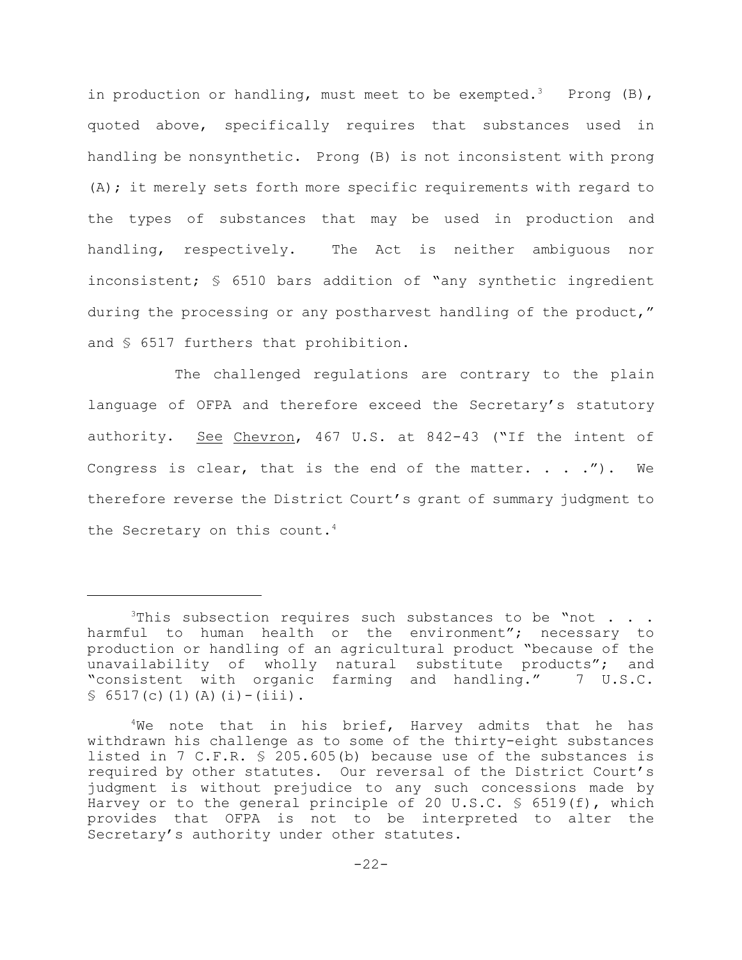in production or handling, must meet to be exempted.<sup>3</sup> Prong  $(B)$ , quoted above, specifically requires that substances used in handling be nonsynthetic. Prong (B) is not inconsistent with prong (A); it merely sets forth more specific requirements with regard to the types of substances that may be used in production and handling, respectively. The Act is neither ambiguous nor inconsistent; § 6510 bars addition of "any synthetic ingredient during the processing or any postharvest handling of the product," and § 6517 furthers that prohibition.

The challenged regulations are contrary to the plain language of OFPA and therefore exceed the Secretary's statutory authority. See Chevron, 467 U.S. at 842-43 ("If the intent of Congress is clear, that is the end of the matter.  $\ldots$  .  $\ldots$ therefore reverse the District Court's grant of summary judgment to the Secretary on this count.<sup>4</sup>

 $3$ This subsection requires such substances to be "not . . . harmful to human health or the environment"; necessary to production or handling of an agricultural product "because of the unavailability of wholly natural substitute products"; and "consistent with organic farming and handling." 7 U.S.C.  $\S$  6517(c)(1)(A)(i)-(iii).

 $4$ We note that in his brief, Harvey admits that he has withdrawn his challenge as to some of the thirty-eight substances listed in 7 C.F.R. § 205.605(b) because use of the substances is required by other statutes. Our reversal of the District Court's judgment is without prejudice to any such concessions made by Harvey or to the general principle of 20 U.S.C.  $\frac{1}{5}$  6519(f), which provides that OFPA is not to be interpreted to alter the Secretary's authority under other statutes.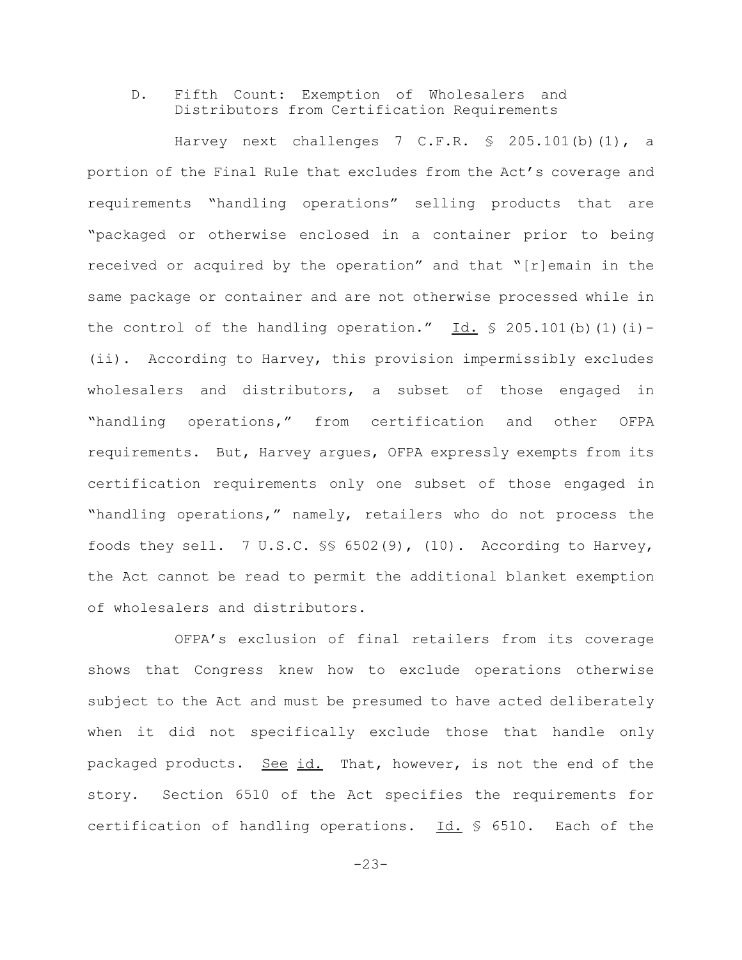# D. Fifth Count: Exemption of Wholesalers and Distributors from Certification Requirements

Harvey next challenges 7 C.F.R. § 205.101(b)(1), a portion of the Final Rule that excludes from the Act's coverage and requirements "handling operations" selling products that are "packaged or otherwise enclosed in a container prior to being received or acquired by the operation" and that "[r]emain in the same package or container and are not otherwise processed while in the control of the handling operation."  $Id. \$  205.101(b)(1)(i)-(ii). According to Harvey, this provision impermissibly excludes wholesalers and distributors, a subset of those engaged in "handling operations," from certification and other OFPA requirements. But, Harvey argues, OFPA expressly exempts from its certification requirements only one subset of those engaged in "handling operations," namely, retailers who do not process the foods they sell. 7 U.S.C. §§ 6502(9), (10). According to Harvey, the Act cannot be read to permit the additional blanket exemption of wholesalers and distributors.

OFPA's exclusion of final retailers from its coverage shows that Congress knew how to exclude operations otherwise subject to the Act and must be presumed to have acted deliberately when it did not specifically exclude those that handle only packaged products. See id. That, however, is not the end of the story. Section 6510 of the Act specifies the requirements for certification of handling operations. Id. § 6510. Each of the

 $-23-$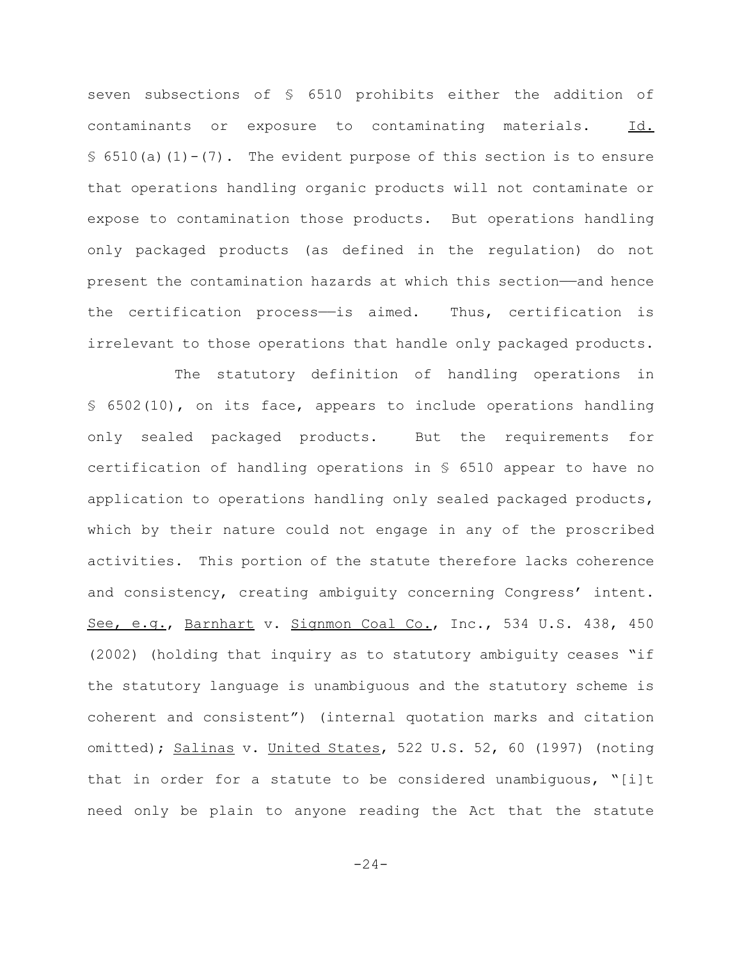seven subsections of § 6510 prohibits either the addition of contaminants or exposure to contaminating materials. Id.  $\S$  6510(a)(1)-(7). The evident purpose of this section is to ensure that operations handling organic products will not contaminate or expose to contamination those products. But operations handling only packaged products (as defined in the regulation) do not present the contamination hazards at which this section—and hence the certification process——is aimed. Thus, certification is irrelevant to those operations that handle only packaged products.

The statutory definition of handling operations in § 6502(10), on its face, appears to include operations handling only sealed packaged products. But the requirements for certification of handling operations in § 6510 appear to have no application to operations handling only sealed packaged products, which by their nature could not engage in any of the proscribed activities. This portion of the statute therefore lacks coherence and consistency, creating ambiguity concerning Congress' intent. See, e.g., Barnhart v. Signmon Coal Co., Inc., 534 U.S. 438, 450 (2002) (holding that inquiry as to statutory ambiguity ceases "if the statutory language is unambiguous and the statutory scheme is coherent and consistent") (internal quotation marks and citation omitted); Salinas v. United States, 522 U.S. 52, 60 (1997) (noting that in order for a statute to be considered unambiguous, "[i]t need only be plain to anyone reading the Act that the statute

 $-24-$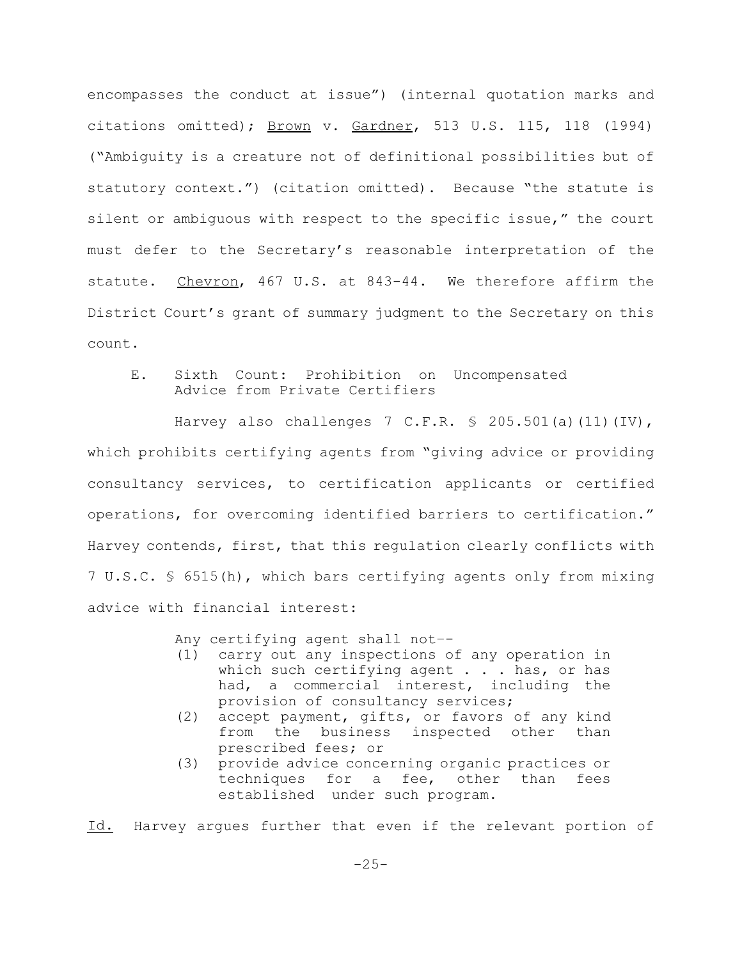encompasses the conduct at issue") (internal quotation marks and citations omitted); Brown v. Gardner, 513 U.S. 115, 118 (1994) ("Ambiguity is a creature not of definitional possibilities but of statutory context.") (citation omitted). Because "the statute is silent or ambiguous with respect to the specific issue," the court must defer to the Secretary's reasonable interpretation of the statute. Chevron, 467 U.S. at 843-44. We therefore affirm the District Court's grant of summary judgment to the Secretary on this count.

E. Sixth Count: Prohibition on Uncompensated Advice from Private Certifiers

Harvey also challenges 7 C.F.R.  $\frac{1}{5}$  205.501(a)(11)(IV), which prohibits certifying agents from "giving advice or providing consultancy services, to certification applicants or certified operations, for overcoming identified barriers to certification." Harvey contends, first, that this regulation clearly conflicts with 7 U.S.C. § 6515(h), which bars certifying agents only from mixing advice with financial interest:

Any certifying agent shall not–-

- (1) carry out any inspections of any operation in which such certifying agent . . . has, or has had, a commercial interest, including the provision of consultancy services;
- (2) accept payment, gifts, or favors of any kind from the business inspected other than prescribed fees; or
- (3) provide advice concerning organic practices or techniques for a fee, other than fees established under such program.

Id. Harvey argues further that even if the relevant portion of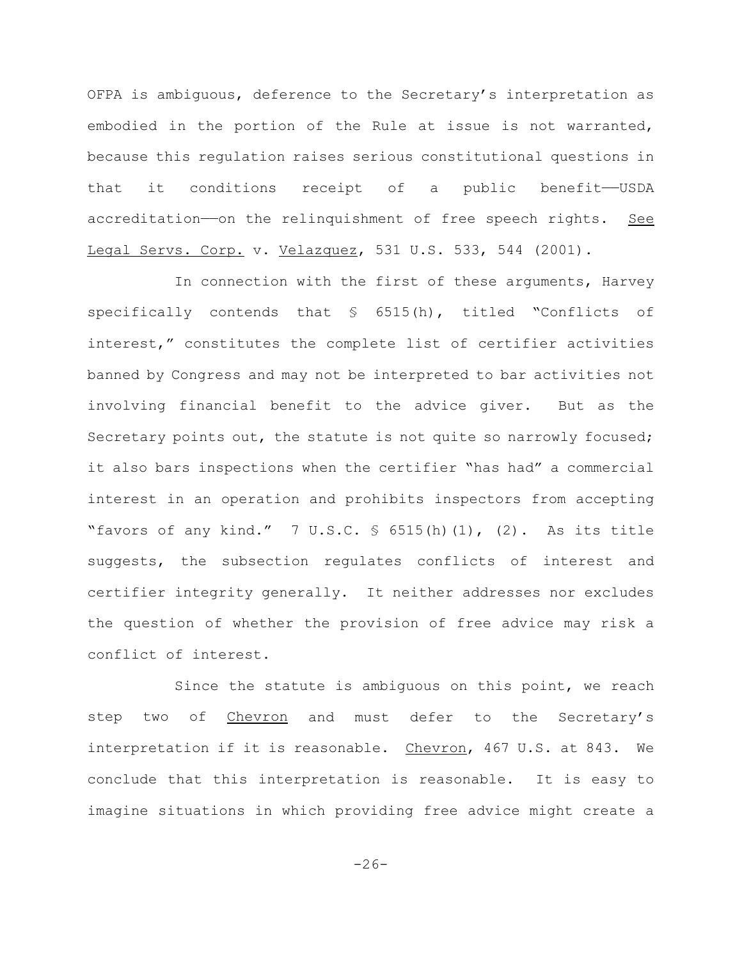OFPA is ambiguous, deference to the Secretary's interpretation as embodied in the portion of the Rule at issue is not warranted, because this regulation raises serious constitutional questions in that it conditions receipt of a public benefit——USDA accreditation—on the relinquishment of free speech rights. See Legal Servs. Corp. v. Velazquez, 531 U.S. 533, 544 (2001).

In connection with the first of these arguments, Harvey specifically contends that § 6515(h), titled "Conflicts of interest," constitutes the complete list of certifier activities banned by Congress and may not be interpreted to bar activities not involving financial benefit to the advice giver. But as the Secretary points out, the statute is not quite so narrowly focused; it also bars inspections when the certifier "has had" a commercial interest in an operation and prohibits inspectors from accepting "favors of any kind."  $7 \text{ U.S.C. }$  \$ 6515(h)(1), (2). As its title suggests, the subsection regulates conflicts of interest and certifier integrity generally. It neither addresses nor excludes the question of whether the provision of free advice may risk a conflict of interest.

Since the statute is ambiguous on this point, we reach step two of Chevron and must defer to the Secretary's interpretation if it is reasonable. Chevron, 467 U.S. at 843. We conclude that this interpretation is reasonable. It is easy to imagine situations in which providing free advice might create a

 $-26-$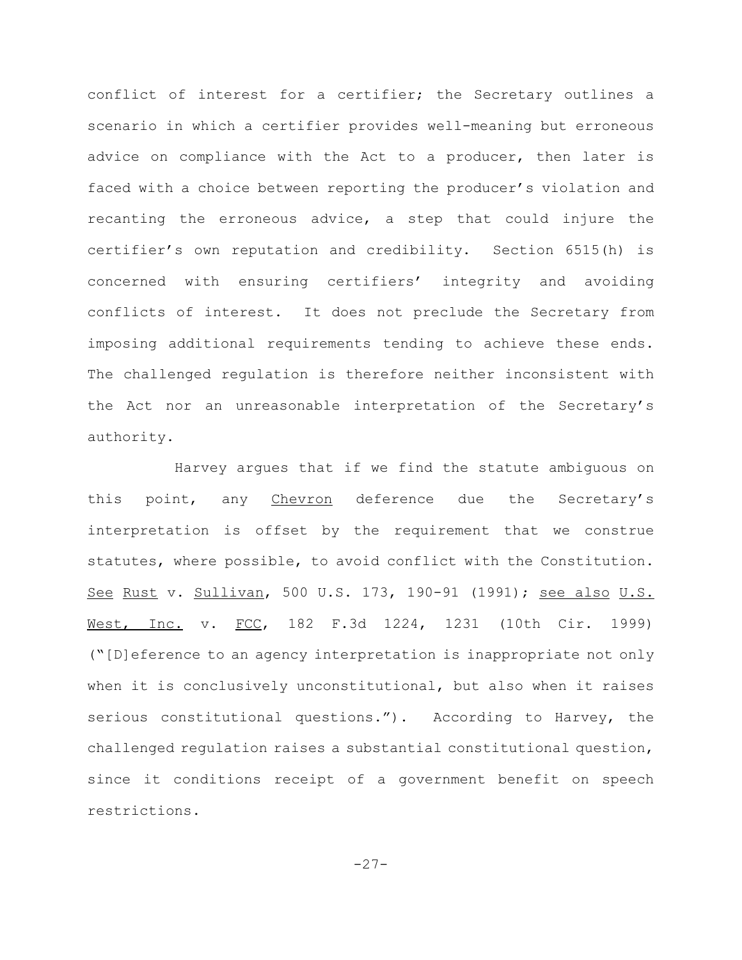conflict of interest for a certifier; the Secretary outlines a scenario in which a certifier provides well-meaning but erroneous advice on compliance with the Act to a producer, then later is faced with a choice between reporting the producer's violation and recanting the erroneous advice, a step that could injure the certifier's own reputation and credibility. Section 6515(h) is concerned with ensuring certifiers' integrity and avoiding conflicts of interest. It does not preclude the Secretary from imposing additional requirements tending to achieve these ends. The challenged regulation is therefore neither inconsistent with the Act nor an unreasonable interpretation of the Secretary's authority.

Harvey argues that if we find the statute ambiguous on this point, any Chevron deference due the Secretary's interpretation is offset by the requirement that we construe statutes, where possible, to avoid conflict with the Constitution. See Rust v. Sullivan, 500 U.S. 173, 190-91 (1991); see also U.S. West, Inc. v. FCC, 182 F.3d 1224, 1231 (10th Cir. 1999) ("[D]eference to an agency interpretation is inappropriate not only when it is conclusively unconstitutional, but also when it raises serious constitutional questions."). According to Harvey, the challenged regulation raises a substantial constitutional question, since it conditions receipt of a government benefit on speech restrictions.

-27-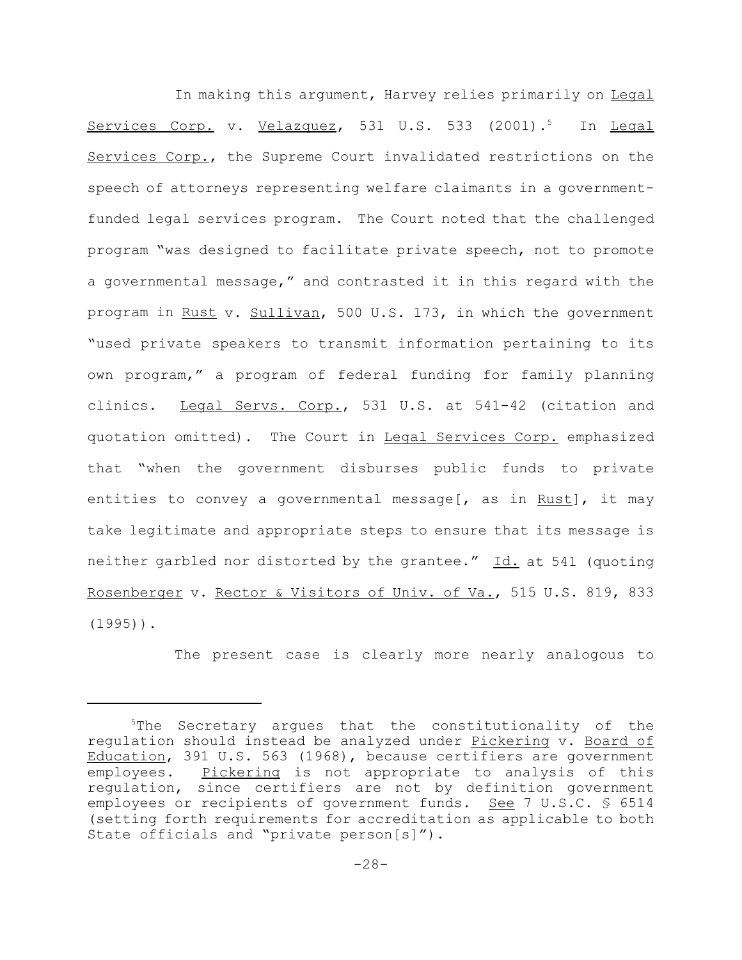In making this argument, Harvey relies primarily on Legal Services Corp. v. Velazquez, 531 U.S. 533 (2001).<sup>5</sup> In Legal Services Corp., the Supreme Court invalidated restrictions on the speech of attorneys representing welfare claimants in a governmentfunded legal services program. The Court noted that the challenged program "was designed to facilitate private speech, not to promote a governmental message," and contrasted it in this regard with the program in Rust v. Sullivan, 500 U.S. 173, in which the government "used private speakers to transmit information pertaining to its own program," a program of federal funding for family planning clinics. Legal Servs. Corp., 531 U.S. at 541-42 (citation and quotation omitted). The Court in Legal Services Corp. emphasized that "when the government disburses public funds to private entities to convey a governmental message[, as in Rust], it may take legitimate and appropriate steps to ensure that its message is neither garbled nor distorted by the grantee." Id. at 541 (quoting Rosenberger v. Rector & Visitors of Univ. of Va., 515 U.S. 819, 833  $(1995)$ ).

The present case is clearly more nearly analogous to

<sup>&</sup>lt;sup>5</sup>The Secretary argues that the constitutionality of the regulation should instead be analyzed under Pickering v. Board of Education, 391 U.S. 563 (1968), because certifiers are government employees. Pickering is not appropriate to analysis of this regulation, since certifiers are not by definition government employees or recipients of government funds. See 7 U.S.C.  $\frac{1}{5}$  6514 (setting forth requirements for accreditation as applicable to both State officials and "private person[s]").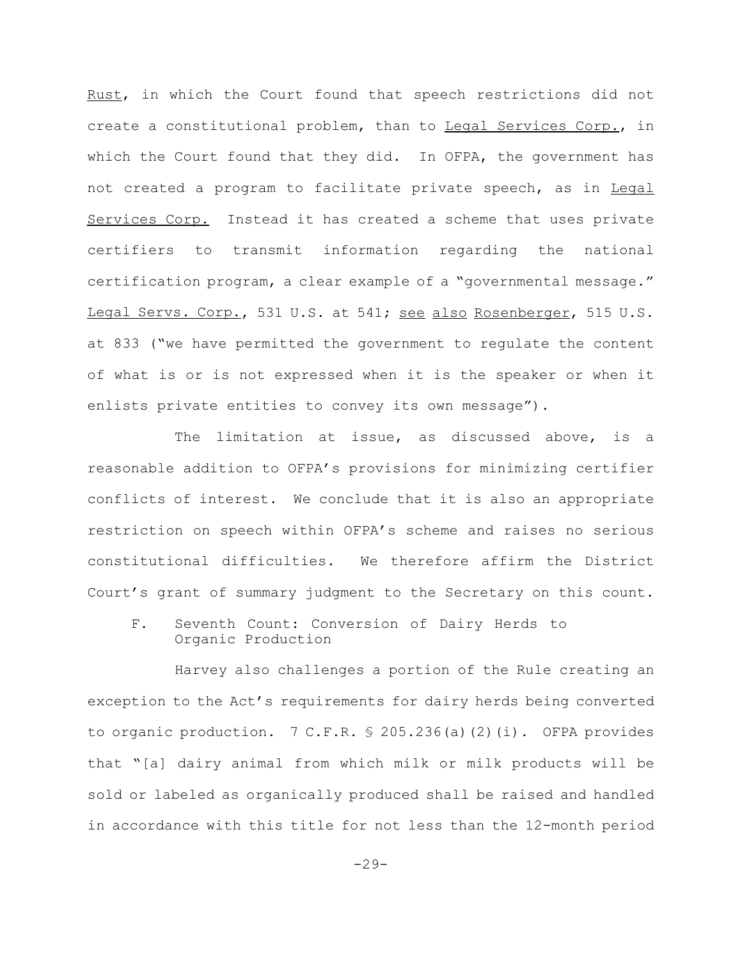Rust, in which the Court found that speech restrictions did not create a constitutional problem, than to Legal Services Corp., in which the Court found that they did. In OFPA, the government has not created a program to facilitate private speech, as in Legal Services Corp. Instead it has created a scheme that uses private certifiers to transmit information regarding the national certification program, a clear example of a "governmental message." Legal Servs. Corp., 531 U.S. at 541; see also Rosenberger, 515 U.S. at 833 ("we have permitted the government to regulate the content of what is or is not expressed when it is the speaker or when it enlists private entities to convey its own message").

The limitation at issue, as discussed above, is a reasonable addition to OFPA's provisions for minimizing certifier conflicts of interest. We conclude that it is also an appropriate restriction on speech within OFPA's scheme and raises no serious constitutional difficulties. We therefore affirm the District Court's grant of summary judgment to the Secretary on this count.

F. Seventh Count: Conversion of Dairy Herds to Organic Production

Harvey also challenges a portion of the Rule creating an exception to the Act's requirements for dairy herds being converted to organic production. 7 C.F.R. § 205.236(a)(2)(i). OFPA provides that "[a] dairy animal from which milk or milk products will be sold or labeled as organically produced shall be raised and handled in accordance with this title for not less than the 12-month period

 $-29-$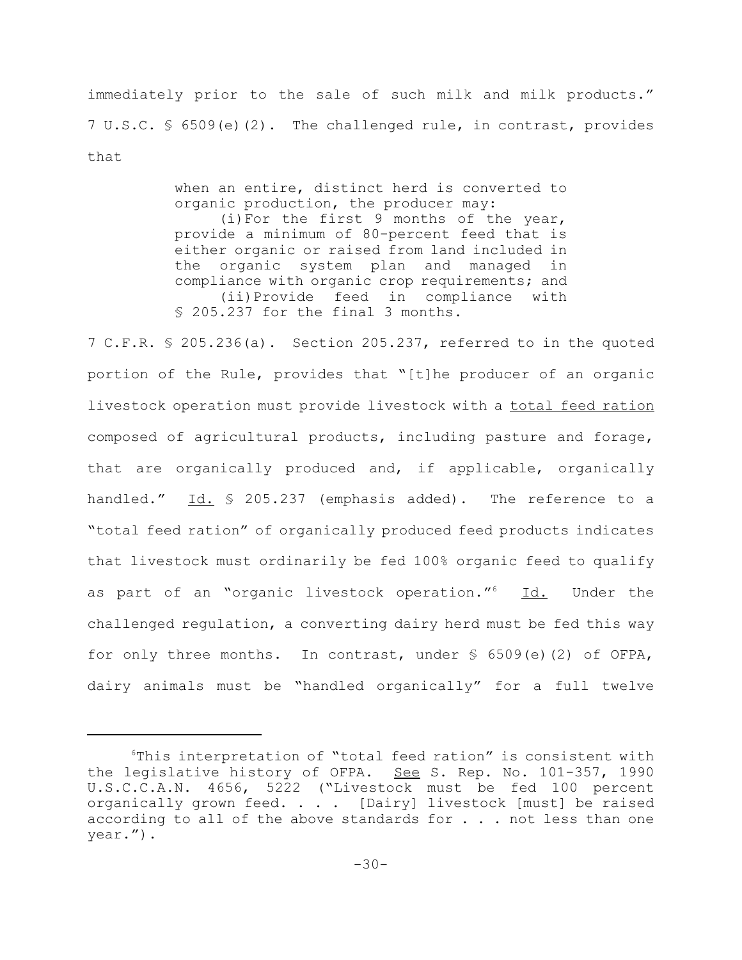immediately prior to the sale of such milk and milk products." 7 U.S.C. § 6509(e)(2). The challenged rule, in contrast, provides that

> when an entire, distinct herd is converted to organic production, the producer may: (i)For the first 9 months of the year, provide a minimum of 80-percent feed that is either organic or raised from land included in the organic system plan and managed in compliance with organic crop requirements; and (ii)Provide feed in compliance with § 205.237 for the final 3 months.

7 C.F.R. § 205.236(a). Section 205.237, referred to in the quoted portion of the Rule, provides that "[t]he producer of an organic livestock operation must provide livestock with a total feed ration composed of agricultural products, including pasture and forage, that are organically produced and, if applicable, organically handled." Id. § 205.237 (emphasis added). The reference to a "total feed ration" of organically produced feed products indicates that livestock must ordinarily be fed 100% organic feed to qualify as part of an "organic livestock operation."<sup>6</sup> Id. Under the challenged regulation, a converting dairy herd must be fed this way for only three months. In contrast, under  $\frac{1}{5}$  6509(e)(2) of OFPA, dairy animals must be "handled organically" for a full twelve

<sup>6</sup>This interpretation of "total feed ration" is consistent with the legislative history of OFPA. See S. Rep. No. 101-357, 1990 U.S.C.C.A.N. 4656, 5222 ("Livestock must be fed 100 percent organically grown feed. . . . [Dairy] livestock [must] be raised according to all of the above standards for . . . not less than one year.").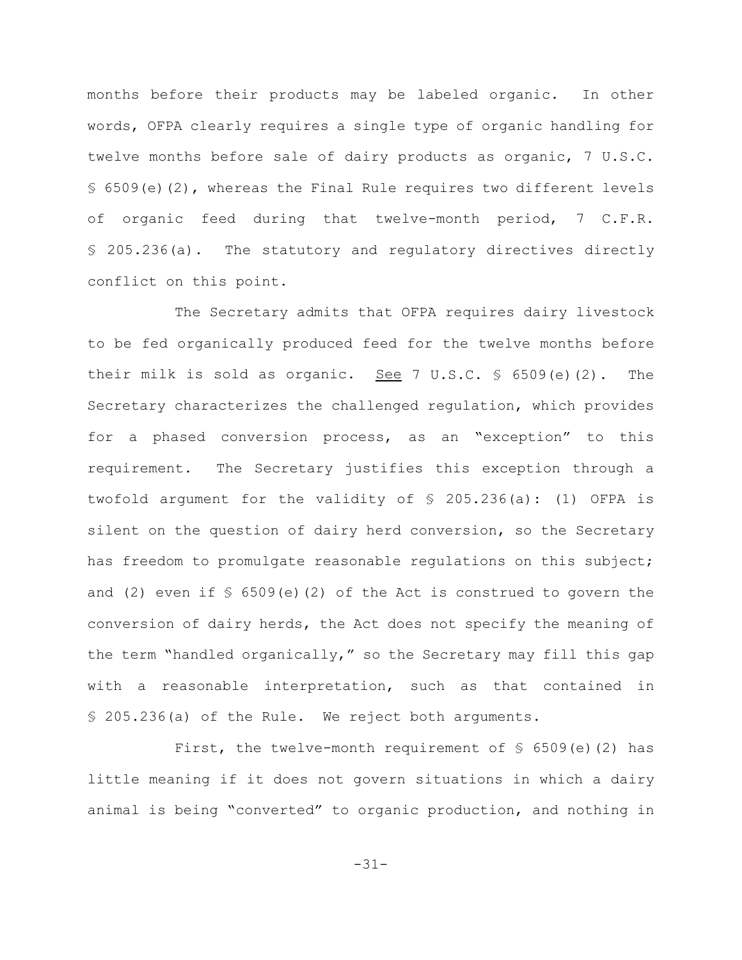months before their products may be labeled organic. In other words, OFPA clearly requires a single type of organic handling for twelve months before sale of dairy products as organic, 7 U.S.C.  $$6509(e)(2)$ , whereas the Final Rule requires two different levels of organic feed during that twelve-month period, 7 C.F.R. § 205.236(a). The statutory and regulatory directives directly conflict on this point.

The Secretary admits that OFPA requires dairy livestock to be fed organically produced feed for the twelve months before their milk is sold as organic. See 7 U.S.C.  $\frac{6}{509}$  (e)(2). The Secretary characterizes the challenged regulation, which provides for a phased conversion process, as an "exception" to this requirement. The Secretary justifies this exception through a twofold argument for the validity of § 205.236(a): (1) OFPA is silent on the question of dairy herd conversion, so the Secretary has freedom to promulgate reasonable regulations on this subject; and (2) even if  $\sqrt{5}$  6509(e)(2) of the Act is construed to govern the conversion of dairy herds, the Act does not specify the meaning of the term "handled organically," so the Secretary may fill this gap with a reasonable interpretation, such as that contained in § 205.236(a) of the Rule. We reject both arguments.

First, the twelve-month requirement of  $\S$  6509(e)(2) has little meaning if it does not govern situations in which a dairy animal is being "converted" to organic production, and nothing in

-31-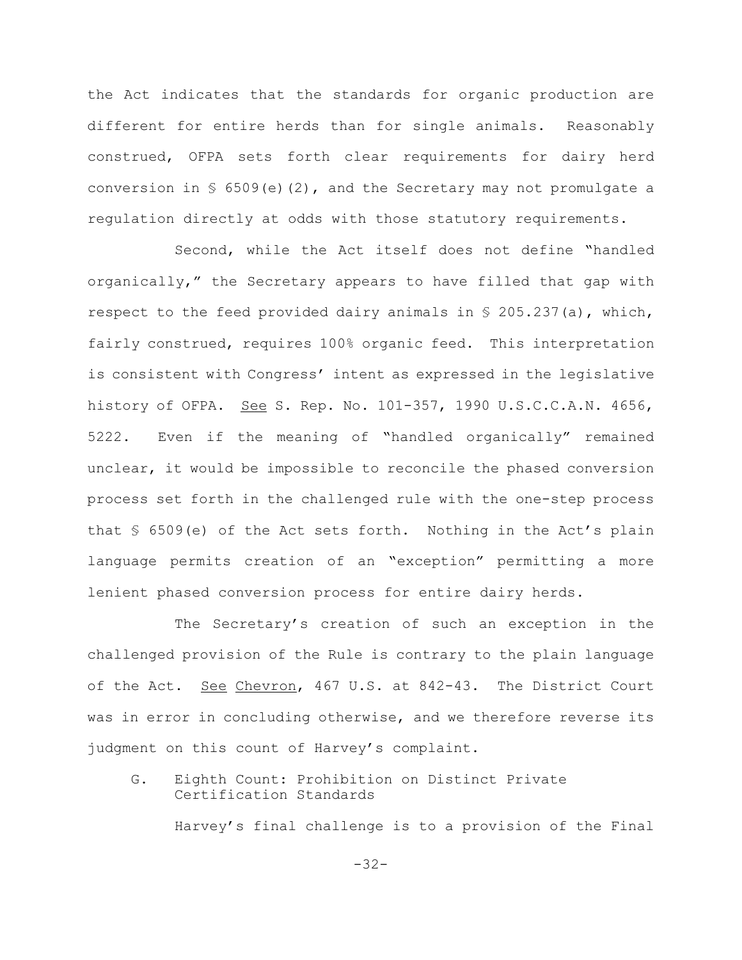the Act indicates that the standards for organic production are different for entire herds than for single animals. Reasonably construed, OFPA sets forth clear requirements for dairy herd conversion in  $\S$  6509(e)(2), and the Secretary may not promulgate a regulation directly at odds with those statutory requirements.

Second, while the Act itself does not define "handled organically," the Secretary appears to have filled that gap with respect to the feed provided dairy animals in  $\frac{1}{5}$  205.237(a), which, fairly construed, requires 100% organic feed. This interpretation is consistent with Congress' intent as expressed in the legislative history of OFPA. See S. Rep. No. 101-357, 1990 U.S.C.C.A.N. 4656, 5222. Even if the meaning of "handled organically" remained unclear, it would be impossible to reconcile the phased conversion process set forth in the challenged rule with the one-step process that § 6509(e) of the Act sets forth. Nothing in the Act's plain language permits creation of an "exception" permitting a more lenient phased conversion process for entire dairy herds.

The Secretary's creation of such an exception in the challenged provision of the Rule is contrary to the plain language of the Act. See Chevron, 467 U.S. at 842-43. The District Court was in error in concluding otherwise, and we therefore reverse its judgment on this count of Harvey's complaint.

G. Eighth Count: Prohibition on Distinct Private Certification Standards

Harvey's final challenge is to a provision of the Final

-32-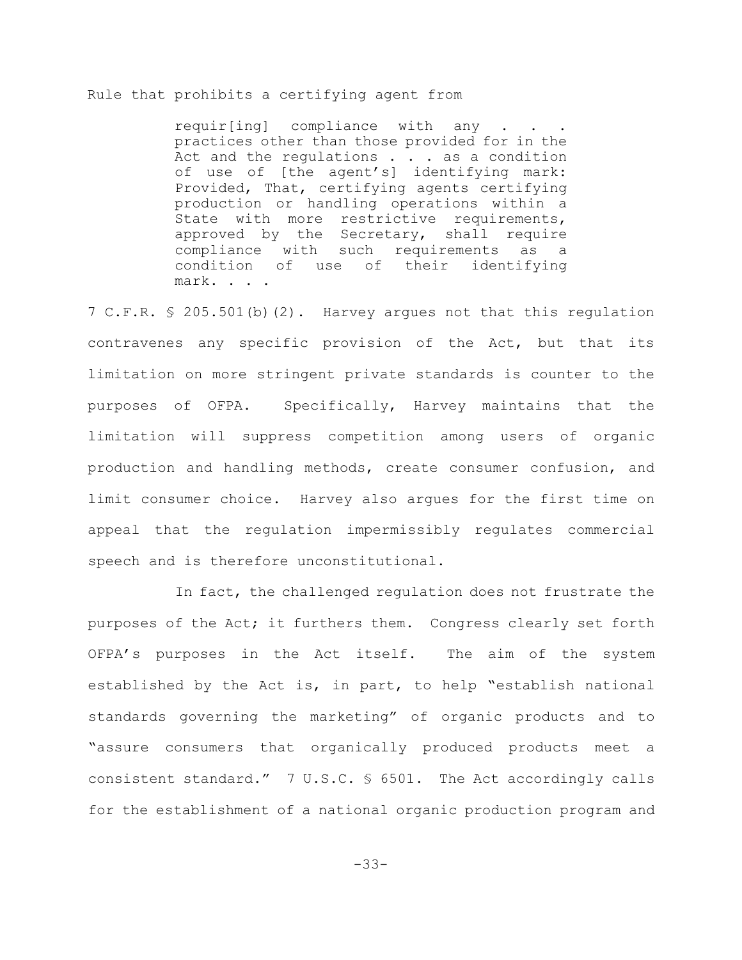# Rule that prohibits a certifying agent from

requir[ing] compliance with any practices other than those provided for in the Act and the regulations . . . as a condition of use of [the agent's] identifying mark: Provided, That, certifying agents certifying production or handling operations within a State with more restrictive requirements, approved by the Secretary, shall require compliance with such requirements as a condition of use of their identifying mark. . . .

7 C.F.R. § 205.501(b)(2). Harvey argues not that this regulation contravenes any specific provision of the Act, but that its limitation on more stringent private standards is counter to the purposes of OFPA. Specifically, Harvey maintains that the limitation will suppress competition among users of organic production and handling methods, create consumer confusion, and limit consumer choice. Harvey also argues for the first time on appeal that the regulation impermissibly regulates commercial speech and is therefore unconstitutional.

In fact, the challenged regulation does not frustrate the purposes of the Act; it furthers them. Congress clearly set forth OFPA's purposes in the Act itself. The aim of the system established by the Act is, in part, to help "establish national standards governing the marketing" of organic products and to "assure consumers that organically produced products meet a consistent standard." 7 U.S.C. § 6501. The Act accordingly calls for the establishment of a national organic production program and

-33-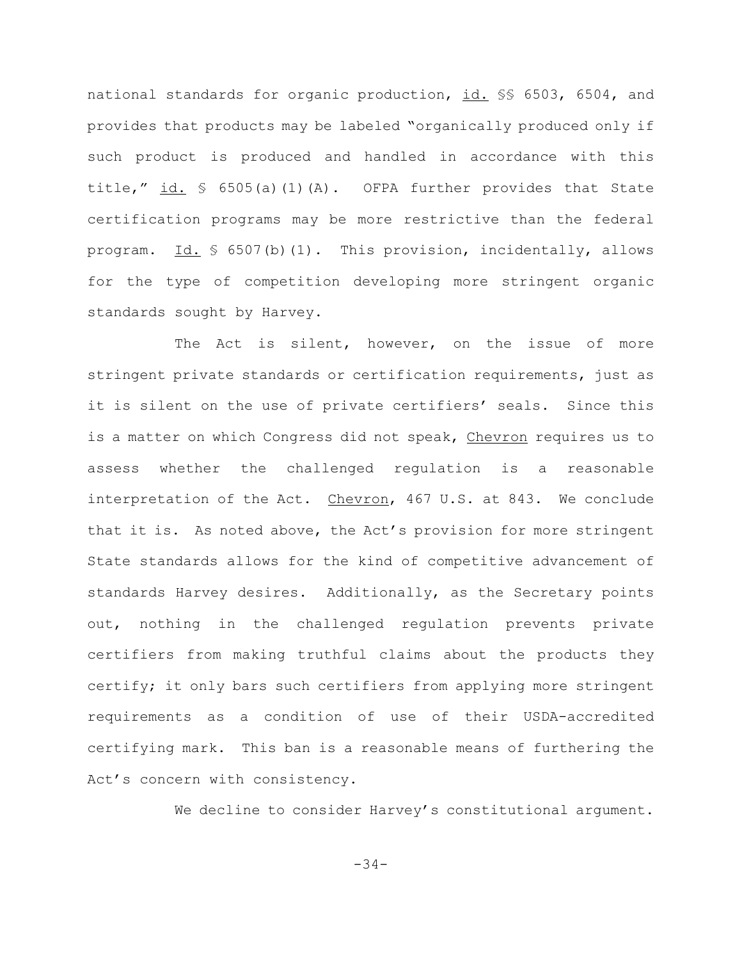national standards for organic production, id. §§ 6503, 6504, and provides that products may be labeled "organically produced only if such product is produced and handled in accordance with this title," id.  $\frac{1}{5}$  6505(a)(1)(A). OFPA further provides that State certification programs may be more restrictive than the federal program. Id.  $\frac{1}{2}$  6507(b)(1). This provision, incidentally, allows for the type of competition developing more stringent organic standards sought by Harvey.

The Act is silent, however, on the issue of more stringent private standards or certification requirements, just as it is silent on the use of private certifiers' seals. Since this is a matter on which Congress did not speak, Chevron requires us to assess whether the challenged regulation is a reasonable interpretation of the Act. Chevron, 467 U.S. at 843. We conclude that it is. As noted above, the Act's provision for more stringent State standards allows for the kind of competitive advancement of standards Harvey desires. Additionally, as the Secretary points out, nothing in the challenged regulation prevents private certifiers from making truthful claims about the products they certify; it only bars such certifiers from applying more stringent requirements as a condition of use of their USDA-accredited certifying mark. This ban is a reasonable means of furthering the Act's concern with consistency.

We decline to consider Harvey's constitutional argument.

-34-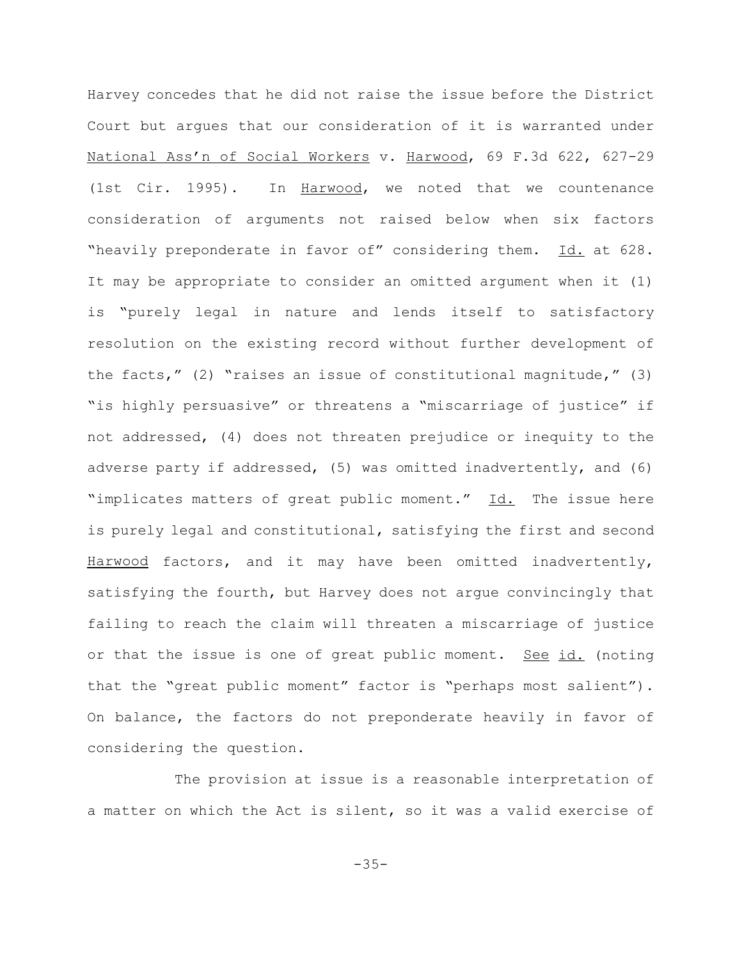Harvey concedes that he did not raise the issue before the District Court but argues that our consideration of it is warranted under National Ass'n of Social Workers v. Harwood, 69 F.3d 622, 627-29 (1st Cir. 1995). In Harwood, we noted that we countenance consideration of arguments not raised below when six factors "heavily preponderate in favor of" considering them. Id. at 628. It may be appropriate to consider an omitted argument when it (1) is "purely legal in nature and lends itself to satisfactory resolution on the existing record without further development of the facts," (2) "raises an issue of constitutional magnitude," (3) "is highly persuasive" or threatens a "miscarriage of justice" if not addressed, (4) does not threaten prejudice or inequity to the adverse party if addressed, (5) was omitted inadvertently, and (6) "implicates matters of great public moment." Id. The issue here is purely legal and constitutional, satisfying the first and second Harwood factors, and it may have been omitted inadvertently, satisfying the fourth, but Harvey does not argue convincingly that failing to reach the claim will threaten a miscarriage of justice or that the issue is one of great public moment. See id. (noting that the "great public moment" factor is "perhaps most salient"). On balance, the factors do not preponderate heavily in favor of considering the question.

The provision at issue is a reasonable interpretation of a matter on which the Act is silent, so it was a valid exercise of

-35-